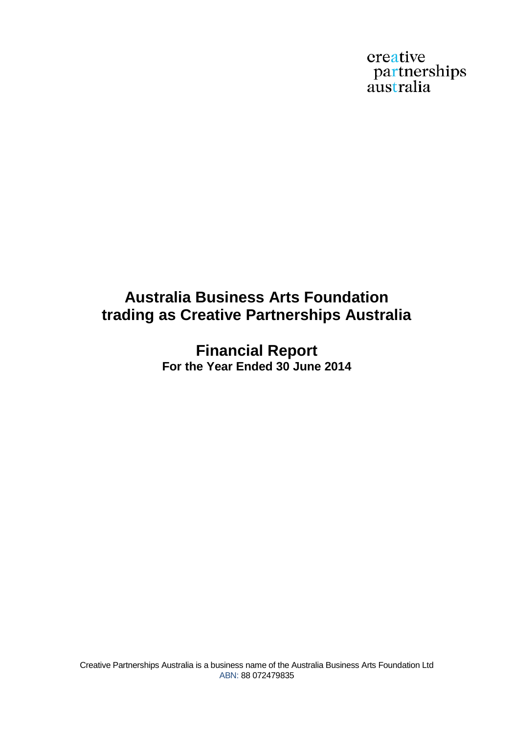creative partnerships<br>australia

# **Australia Business Arts Foundation trading as Creative Partnerships Australia**

**Financial Report For the Year Ended 30 June 2014**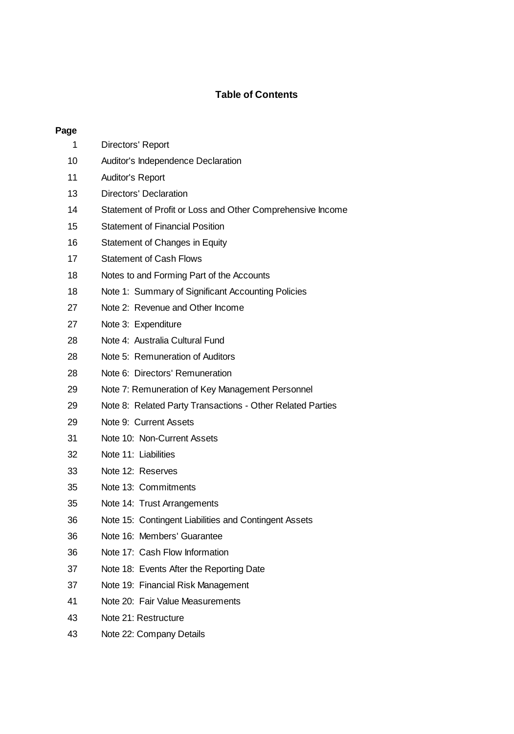## **Table of Contents**

## **Page**

| 1  | Directors' Report                                          |
|----|------------------------------------------------------------|
| 10 | Auditor's Independence Declaration                         |
| 11 | Auditor's Report                                           |
| 13 | Directors' Declaration                                     |
| 14 | Statement of Profit or Loss and Other Comprehensive Income |
| 15 | <b>Statement of Financial Position</b>                     |
| 16 | Statement of Changes in Equity                             |
| 17 | <b>Statement of Cash Flows</b>                             |
| 18 | Notes to and Forming Part of the Accounts                  |
| 18 | Note 1: Summary of Significant Accounting Policies         |
| 27 | Note 2: Revenue and Other Income                           |
| 27 | Note 3: Expenditure                                        |
| 28 | Note 4: Australia Cultural Fund                            |
| 28 | Note 5: Remuneration of Auditors                           |
| 28 | Note 6: Directors' Remuneration                            |
| 29 | Note 7: Remuneration of Key Management Personnel           |
| 29 | Note 8: Related Party Transactions - Other Related Parties |
| 29 | Note 9: Current Assets                                     |
| 31 | Note 10: Non-Current Assets                                |
| 32 | Note 11: Liabilities                                       |
| 33 | Note 12: Reserves                                          |
| 35 | Note 13: Commitments                                       |
| 35 | Note 14: Trust Arrangements                                |
| 36 | Note 15: Contingent Liabilities and Contingent Assets      |
| 36 | Note 16: Members' Guarantee                                |
| 36 | Note 17: Cash Flow Information                             |
| 37 | Note 18: Events After the Reporting Date                   |
| 37 | Note 19: Financial Risk Management                         |
| 41 | Note 20: Fair Value Measurements                           |
| 43 | Note 21: Restructure                                       |
| 43 | Note 22: Company Details                                   |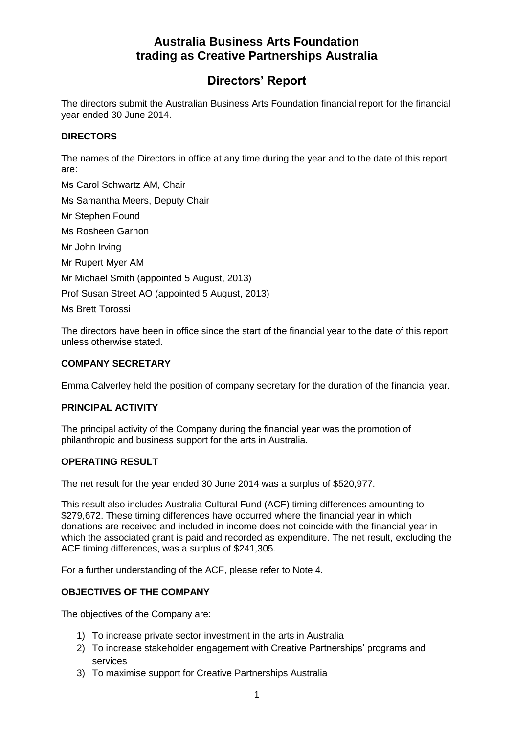# **Directors' Report**

The directors submit the Australian Business Arts Foundation financial report for the financial year ended 30 June 2014.

#### **DIRECTORS**

The names of the Directors in office at any time during the year and to the date of this report are:

Ms Carol Schwartz AM, Chair Ms Samantha Meers, Deputy Chair Mr Stephen Found Ms Rosheen Garnon Mr John Irving Mr Rupert Myer AM Mr Michael Smith (appointed 5 August, 2013) Prof Susan Street AO (appointed 5 August, 2013) Ms Brett Torossi

The directors have been in office since the start of the financial year to the date of this report unless otherwise stated.

#### **COMPANY SECRETARY**

Emma Calverley held the position of company secretary for the duration of the financial year.

#### **PRINCIPAL ACTIVITY**

The principal activity of the Company during the financial year was the promotion of philanthropic and business support for the arts in Australia.

#### **OPERATING RESULT**

The net result for the year ended 30 June 2014 was a surplus of \$520,977.

This result also includes Australia Cultural Fund (ACF) timing differences amounting to \$279,672. These timing differences have occurred where the financial year in which donations are received and included in income does not coincide with the financial year in which the associated grant is paid and recorded as expenditure. The net result, excluding the ACF timing differences, was a surplus of \$241,305.

For a further understanding of the ACF, please refer to Note 4.

## **OBJECTIVES OF THE COMPANY**

The objectives of the Company are:

- 1) To increase private sector investment in the arts in Australia
- 2) To increase stakeholder engagement with Creative Partnerships' programs and services
- 3) To maximise support for Creative Partnerships Australia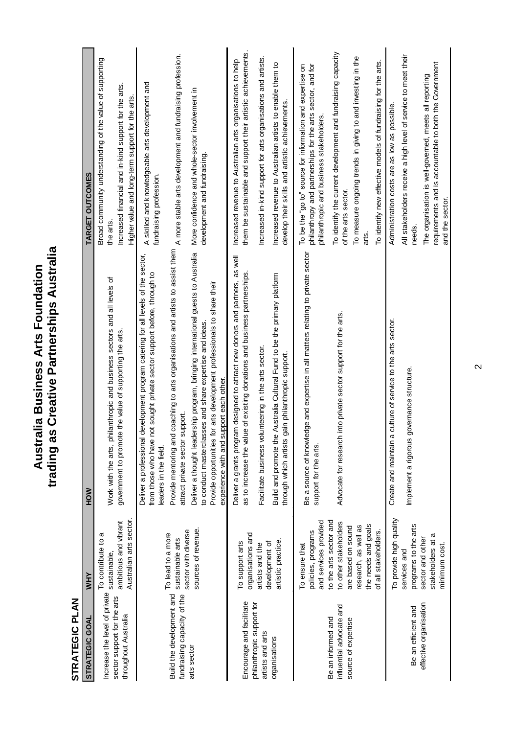# STRATEGIC PLAN

| STRATEGIC PLAN                                                                             |                                                                                                                                                                                                               |                                                                                                                                                                                                                                                                                                                                                                                                                                                                                                                                                                                  |                                                                                                                                                                                                                                                                                                                                                                                                     |
|--------------------------------------------------------------------------------------------|---------------------------------------------------------------------------------------------------------------------------------------------------------------------------------------------------------------|----------------------------------------------------------------------------------------------------------------------------------------------------------------------------------------------------------------------------------------------------------------------------------------------------------------------------------------------------------------------------------------------------------------------------------------------------------------------------------------------------------------------------------------------------------------------------------|-----------------------------------------------------------------------------------------------------------------------------------------------------------------------------------------------------------------------------------------------------------------------------------------------------------------------------------------------------------------------------------------------------|
| STRATEGIC GOAL                                                                             | wнY                                                                                                                                                                                                           | <b>NOH</b>                                                                                                                                                                                                                                                                                                                                                                                                                                                                                                                                                                       | TARGET OUTCOMES                                                                                                                                                                                                                                                                                                                                                                                     |
| Increase the level of private<br>sector support for the arts<br>throughout Australia       | Australian arts sector.<br>ambitious and vibrant<br>To contribute to a<br>sustainable,                                                                                                                        | Work with the arts, philanthropic and business sectors and all levels of<br>government to promote the value of supporting the arts.                                                                                                                                                                                                                                                                                                                                                                                                                                              | Broad community understanding of the value of supporting<br>Increased financial and in-kind support for the arts.<br>Higher value and long-term support for the arts<br>the arts.                                                                                                                                                                                                                   |
| Build the development and<br>fundraising capacity of the<br>arts sector                    | sources of revenue.<br>sector with diverse<br>To lead to a more<br>sustainable arts                                                                                                                           | Provide mentoring and coaching to arts organisations and artists to assist them<br>Deliver a thought leadership program, bringing international guests to Australia<br>Deliver a professional development program catering for all levels of the sector,<br>from those who have not sought private sector support before, through to<br>Provide opportunities for arts development professionals to share their<br>to conduct masterclasses and share expertise and ideas.<br>experience with and support each other.<br>attract private sector support.<br>eaders in the field. | A more stable arts development and fundraising profession.<br>A skilled and knowledgeable arts development and<br>More confidence and whole-sector involvement in<br>development and fundraising.<br>fundraising profession.                                                                                                                                                                        |
| Encourage and facilitate<br>philanthropic support for<br>artists and arts<br>organisations | organisations and<br>artistic practice.<br>To support arts<br>development of<br>artists and the                                                                                                               | Deliver a grants program designed to attract new donors and partners, as well<br>as to increase the value of existing donations and business partnerships.<br>Build and promote the Australia Cultural Fund to be the primary platform<br>Facilitate business volunteering in the arts sector.<br>through which artists gain philanthropic support.                                                                                                                                                                                                                              | them be sustainable and support their artistic achievements.<br>Increased in-kind support for arts organisations and artists.<br>Increased revenue to Australian arts organisations to help<br>Increased revenue to Australian artists to enable them to<br>develop their skills and artistic achievements.                                                                                         |
| influential advocate and<br>Be an informed and<br>source of expertise                      | to the arts sector and<br>and services provided<br>to other stakeholders<br>the needs and goals<br>research, as well as<br>are based on sound<br>of all stakeholders.<br>policies, programs<br>To ensure that | Be a source of knowledge and expertise in all matters relating to private sector<br>Advocate for research into private sector support for the arts.<br>support for the arts.                                                                                                                                                                                                                                                                                                                                                                                                     | To identify the current development and fundraising capacity<br>To measure ongoing trends in giving to and investing in the<br>To identify new effective models of fundraising for the arts.<br>To be the "go to" source for information and expertise on<br>philanthropy and partnerships for the arts sector, and for<br>philanthropic and business stakeholders.<br>of the arts sector.<br>arts. |
| effective organisation<br>Be an efficient and                                              | To provide high quality<br>programs to the arts<br>σ<br>sector and other<br>stakeholders at<br>minimum cost.<br>services and                                                                                  | Create and maintain a culture of service to the arts sector.<br>Implement a rigorous governance structure.                                                                                                                                                                                                                                                                                                                                                                                                                                                                       | All stakeholders receive a high level of service to meet their<br>requirements and is accountable to both the Government<br>The organisation is well-governed, meets all reporting<br>Administration costs are as low as possible.<br>and the sector.<br>needs.                                                                                                                                     |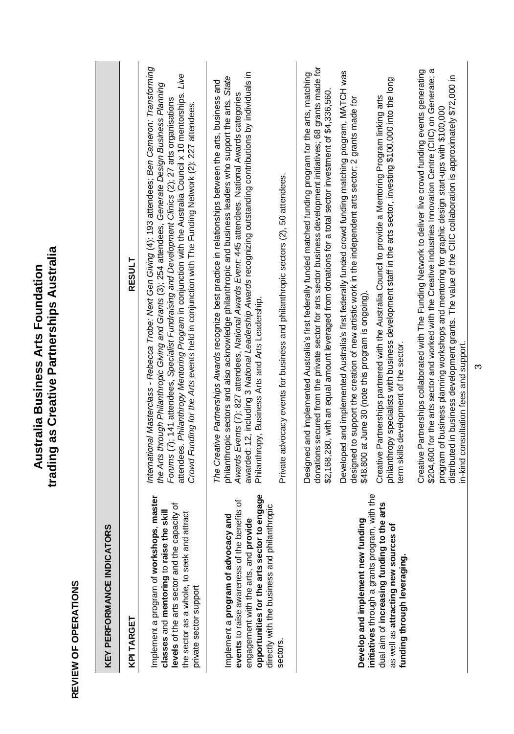| KEY PERFORMANCE INDICATORS                                                                                                                                                                                                  |                                                                                                                                                                                                                                                                                                                                                                                                                                                                                                                                                |
|-----------------------------------------------------------------------------------------------------------------------------------------------------------------------------------------------------------------------------|------------------------------------------------------------------------------------------------------------------------------------------------------------------------------------------------------------------------------------------------------------------------------------------------------------------------------------------------------------------------------------------------------------------------------------------------------------------------------------------------------------------------------------------------|
| KPI TARGET                                                                                                                                                                                                                  | <b>RESULT</b>                                                                                                                                                                                                                                                                                                                                                                                                                                                                                                                                  |
| master<br>levels of the arts sector and the capacity of<br>classes and mentoring to raise the skill<br>the sector as a whole, to seek and attract<br>Implement a program of workshops,<br>private sector support            | International Masterclass - Rebecca Trobe: Next Gen Giving (4): 193 attendees; Ben Cameron: Transforming<br>attendees. Philanthropy Mentoring Program in conjunction with the Australia Council x 10 mentorships. Live<br>the Arts through Philanthropic Giving and Grants (3); 254 attendees, Generate Design Business Planning<br>Forums (7); 141 attendees, Specialist Fundraising and Development Clinics (2); 27 arts organisations<br>Crowd Funding for the Arts events held in conjunction with The Funding Network (2): 227 attendees. |
| opportunities for the arts sector to engage<br>events to raise awareness of the benefits of<br>directly with the business and philanthropic<br>Implement a program of advocacy and<br>engagement with the arts, and provide | awarded: 12, including 3 National Leadership Awards recognizing outstanding contributions by individuals in<br>philanthropic sectors and also acknowledge philanthropic and business leaders who support the arts. State<br>The Creative Partnerships Awards recognize best practice in relationships between the arts, business and<br>Awards Events (7): 827 attendees, National Awards Event. 445 attendees. National Awards categories<br>Philanthropy, Business Arts and Arts Leadership.                                                 |
| sectors.                                                                                                                                                                                                                    | Private advocacy events for business and philanthropic sectors (2), 50 attendees.                                                                                                                                                                                                                                                                                                                                                                                                                                                              |
|                                                                                                                                                                                                                             | donations secured from the private sector for arts sector business development initiatives; 68 grants made for<br>Designed and implemented Australia's first federally funded matched funding program for the arts, matching<br>\$2,168,280, with an equal amount leveraged from donations for a total sector investment of \$4,336,560.                                                                                                                                                                                                       |
| Develop and implement new funding                                                                                                                                                                                           | Developed and implemented Australia's first federally funded crowd funding matching program, MATCH was<br>designed to support the creation of new artistic work in the independent arts sector; 2 grants made for<br>\$48,800 at June 30 (note this program is ongoing).                                                                                                                                                                                                                                                                       |
| initiatives through a grants program, with the<br>arts<br>dual aim of increasing funding to the<br>as well as attracting new sources of<br>funding through leveraging.                                                      | philanthropy specialists with business development staff in the arts sector, investing \$1000,000 into the long<br>Creative Partnerships partnered with the Australia Council to provide a Mentoring Program linking arts<br>term skills development of the sector.                                                                                                                                                                                                                                                                            |
|                                                                                                                                                                                                                             | \$204,600 for the arts sector and worked with the Creative Industries Innovation Centre (CIIC) on Generate; a<br>Creative Partnerships collaborated with The Funding Network to deliver live crowd funding events generating<br>distributed in business development grants. The value of the CIIC collaboration is approximately \$72,000 in<br>program of business planning workshops and mentoring for graphic design start-ups with \$100,000<br>in-kind consultation fees and support.                                                     |

Australia Business Arts Foundation<br>trading as Creative Partnerships Australia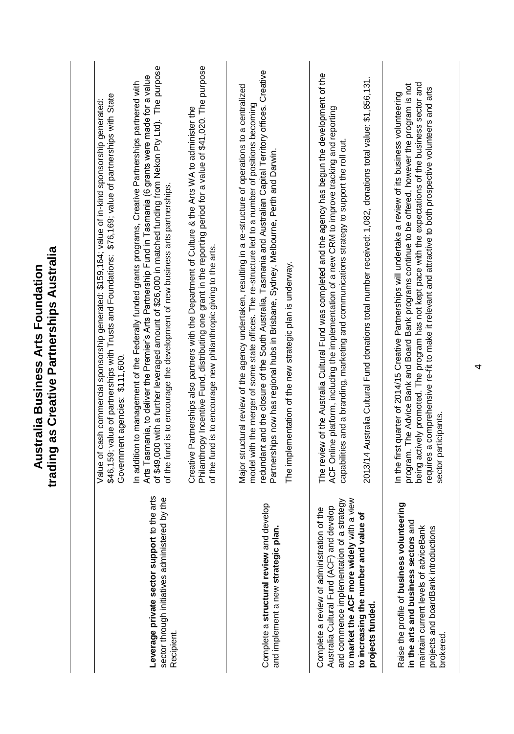|                                                                                                                                                                                      | trading as Creative Partnerships Australia<br>Australia Business Arts Foundation                                                                                                                                                                                                                                                                                                                                                                                   |
|--------------------------------------------------------------------------------------------------------------------------------------------------------------------------------------|--------------------------------------------------------------------------------------------------------------------------------------------------------------------------------------------------------------------------------------------------------------------------------------------------------------------------------------------------------------------------------------------------------------------------------------------------------------------|
|                                                                                                                                                                                      |                                                                                                                                                                                                                                                                                                                                                                                                                                                                    |
|                                                                                                                                                                                      | \$46,159; value of partnerships with Trusts and Foundations: \$76,169; value of partnerships with State<br>Value of cash commercial sponsorship generated: \$159,164; value of in-kind sponsorship generated:<br>Government agencies: \$111,600.                                                                                                                                                                                                                   |
| the arts<br>by the<br>sector through initiatives administered<br>Leverage private sector support to<br>Recipient.                                                                    | of \$49,000 with a further leveraged amount of \$26,000 in matched funding from Nekon Pty Ltd). The purpose<br>Arts Tasmania, to deliver the Premier's Arts Partnership Fund in Tasmania (6 grants were made for a value<br>In addition to management of the Federally funded grants programs, Creative Partnerships partnered with<br>of the fund is to encourage the development of new business arts partnerships.                                              |
|                                                                                                                                                                                      | Philanthropy Incentive Fund, distributing one grant in the reporting period for a value of \$41,020. The purpose<br>Creative Partnerships also partners with the Department of Culture & the Arts WA to administer the<br>of the fund is to encourage new philanthropic giving to the arts.                                                                                                                                                                        |
| Complete a structural review and develop<br>and implement a new strategic plan.                                                                                                      | redundant and the closure of the South Australia, Tasmania and Australian Capital Territory offices. Creative<br>Major structural review of the agency undertaken, resulting in a re-structure of operations to a centralized<br>model with the merger of some state offices. The re-structure led to a number of positions becoming<br>Partnerships now has regional hubs in Brisbane, Sydney, Melbourne, Perth and Darwin.                                       |
|                                                                                                                                                                                      | The implementation of the new strategic plan is underway.                                                                                                                                                                                                                                                                                                                                                                                                          |
| a view<br>and commence implementation of a strategy<br>Australia Cultural Fund (ACF) and develop<br>Complete a review of administration of the<br>to market the ACF more widely with | The review of the Australia Cultural Fund was completed and the agency has begun the development of the<br>ACF Online platform, including the implementation of a new CRM to improve tracking and reporting<br>capabilities and a branding, marketing and communications strategy to support the roll out.                                                                                                                                                         |
| ٥<br>to increasing the number and value<br>projects funded.                                                                                                                          | 2013/14 Australia Cultural Fund donations total number received: 1,082, donations total value: \$1,856,131.                                                                                                                                                                                                                                                                                                                                                        |
| Raise the profile of business volunteering<br>τ<br>in the arts and business sectors an<br>maintain current levels of adviceBank<br>projects and boardBank introductions<br>brokered. | being actively promoted. The program has not kept pace with the expectations of the business sector and<br>program. The Advice Bank and Board Bank programs continue to be offered, however the program is not<br>requires a comprehensive re-fit to make it relevant and attractive to both prospective volunteers and arts<br>In the first quarter of 2014/15 Creative Partnerships will undertake a review of its business volunteering<br>sector participants. |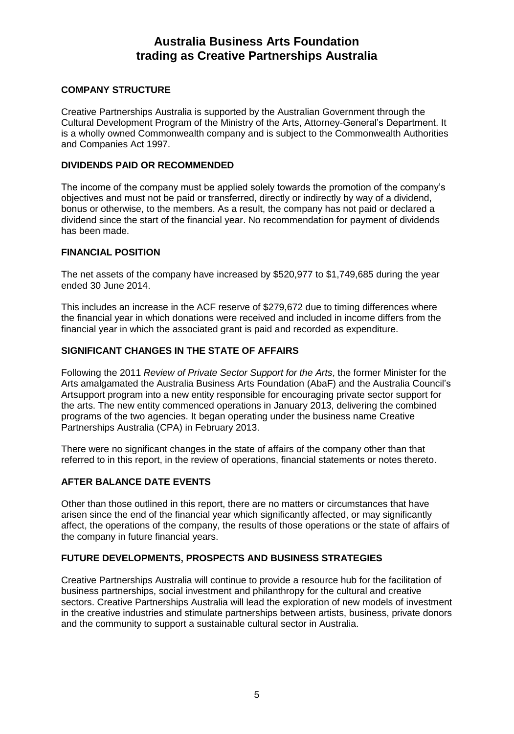#### **COMPANY STRUCTURE**

Creative Partnerships Australia is supported by the Australian Government through the Cultural Development Program of the Ministry of the Arts, Attorney-General's Department. It is a wholly owned Commonwealth company and is subject to the Commonwealth Authorities and Companies Act 1997.

#### **DIVIDENDS PAID OR RECOMMENDED**

The income of the company must be applied solely towards the promotion of the company's objectives and must not be paid or transferred, directly or indirectly by way of a dividend, bonus or otherwise, to the members. As a result, the company has not paid or declared a dividend since the start of the financial year. No recommendation for payment of dividends has been made.

#### **FINANCIAL POSITION**

The net assets of the company have increased by \$520,977 to \$1,749,685 during the year ended 30 June 2014.

This includes an increase in the ACF reserve of \$279,672 due to timing differences where the financial year in which donations were received and included in income differs from the financial year in which the associated grant is paid and recorded as expenditure.

## **SIGNIFICANT CHANGES IN THE STATE OF AFFAIRS**

Following the 2011 *Review of Private Sector Support for the Arts*, the former Minister for the Arts amalgamated the Australia Business Arts Foundation (AbaF) and the Australia Council's Artsupport program into a new entity responsible for encouraging private sector support for the arts. The new entity commenced operations in January 2013, delivering the combined programs of the two agencies. It began operating under the business name Creative Partnerships Australia (CPA) in February 2013.

There were no significant changes in the state of affairs of the company other than that referred to in this report, in the review of operations, financial statements or notes thereto.

## **AFTER BALANCE DATE EVENTS**

Other than those outlined in this report, there are no matters or circumstances that have arisen since the end of the financial year which significantly affected, or may significantly affect, the operations of the company, the results of those operations or the state of affairs of the company in future financial years.

#### **FUTURE DEVELOPMENTS, PROSPECTS AND BUSINESS STRATEGIES**

Creative Partnerships Australia will continue to provide a resource hub for the facilitation of business partnerships, social investment and philanthropy for the cultural and creative sectors. Creative Partnerships Australia will lead the exploration of new models of investment in the creative industries and stimulate partnerships between artists, business, private donors and the community to support a sustainable cultural sector in Australia.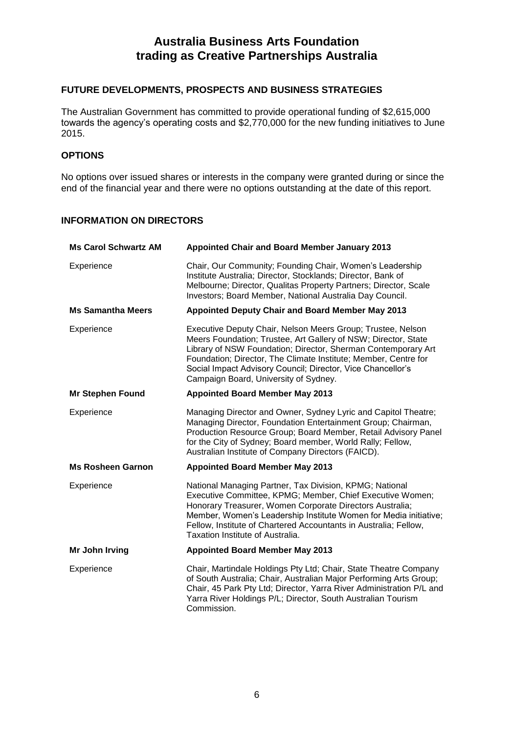## **FUTURE DEVELOPMENTS, PROSPECTS AND BUSINESS STRATEGIES**

The Australian Government has committed to provide operational funding of \$2,615,000 towards the agency's operating costs and \$2,770,000 for the new funding initiatives to June 2015.

## **OPTIONS**

No options over issued shares or interests in the company were granted during or since the end of the financial year and there were no options outstanding at the date of this report.

## **INFORMATION ON DIRECTORS**

| <b>Ms Carol Schwartz AM</b> | Appointed Chair and Board Member January 2013                                                                                                                                                                                                                                                                                                                             |
|-----------------------------|---------------------------------------------------------------------------------------------------------------------------------------------------------------------------------------------------------------------------------------------------------------------------------------------------------------------------------------------------------------------------|
| Experience                  | Chair, Our Community; Founding Chair, Women's Leadership<br>Institute Australia; Director, Stocklands; Director, Bank of<br>Melbourne: Director, Qualitas Property Partners: Director, Scale<br>Investors; Board Member, National Australia Day Council.                                                                                                                  |
| <b>Ms Samantha Meers</b>    | Appointed Deputy Chair and Board Member May 2013                                                                                                                                                                                                                                                                                                                          |
| Experience                  | Executive Deputy Chair, Nelson Meers Group; Trustee, Nelson<br>Meers Foundation; Trustee, Art Gallery of NSW; Director, State<br>Library of NSW Foundation; Director, Sherman Contemporary Art<br>Foundation; Director, The Climate Institute; Member, Centre for<br>Social Impact Advisory Council; Director, Vice Chancellor's<br>Campaign Board, University of Sydney. |
| <b>Mr Stephen Found</b>     | <b>Appointed Board Member May 2013</b>                                                                                                                                                                                                                                                                                                                                    |
| Experience                  | Managing Director and Owner, Sydney Lyric and Capitol Theatre;<br>Managing Director, Foundation Entertainment Group; Chairman,<br>Production Resource Group; Board Member, Retail Advisory Panel<br>for the City of Sydney; Board member, World Rally; Fellow,<br>Australian Institute of Company Directors (FAICD).                                                      |
| <b>Ms Rosheen Garnon</b>    | <b>Appointed Board Member May 2013</b>                                                                                                                                                                                                                                                                                                                                    |
| Experience                  | National Managing Partner, Tax Division, KPMG; National<br>Executive Committee, KPMG; Member, Chief Executive Women;<br>Honorary Treasurer, Women Corporate Directors Australia;<br>Member, Women's Leadership Institute Women for Media initiative;<br>Fellow, Institute of Chartered Accountants in Australia; Fellow,<br>Taxation Institute of Australia.              |
| Mr John Irving              | <b>Appointed Board Member May 2013</b>                                                                                                                                                                                                                                                                                                                                    |
| Experience                  | Chair, Martindale Holdings Pty Ltd; Chair, State Theatre Company<br>of South Australia; Chair, Australian Major Performing Arts Group;<br>Chair, 45 Park Pty Ltd; Director, Yarra River Administration P/L and<br>Yarra River Holdings P/L; Director, South Australian Tourism<br>Commission.                                                                             |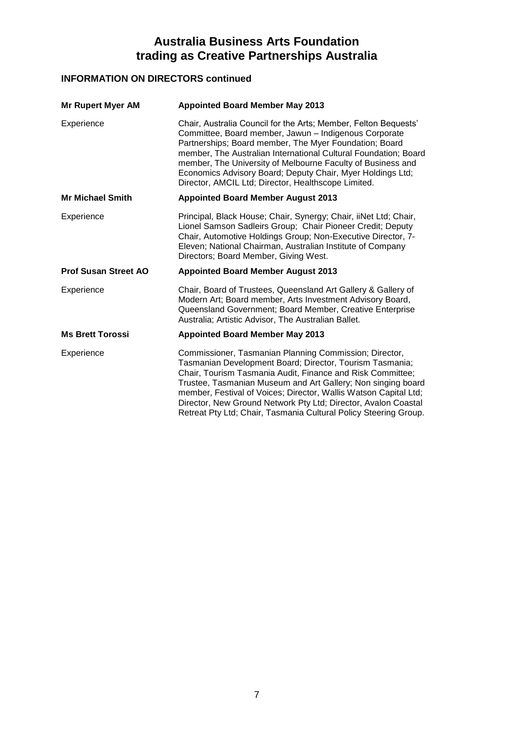# **INFORMATION ON DIRECTORS continued**

| <b>Mr Rupert Myer AM</b>    | <b>Appointed Board Member May 2013</b>                                                                                                                                                                                                                                                                                                                                                                                                    |
|-----------------------------|-------------------------------------------------------------------------------------------------------------------------------------------------------------------------------------------------------------------------------------------------------------------------------------------------------------------------------------------------------------------------------------------------------------------------------------------|
| Experience                  | Chair, Australia Council for the Arts; Member, Felton Bequests'<br>Committee, Board member, Jawun - Indigenous Corporate<br>Partnerships; Board member, The Myer Foundation; Board<br>member, The Australian International Cultural Foundation; Board<br>member, The University of Melbourne Faculty of Business and<br>Economics Advisory Board; Deputy Chair, Myer Holdings Ltd;<br>Director, AMCIL Ltd; Director, Healthscope Limited. |
| <b>Mr Michael Smith</b>     | <b>Appointed Board Member August 2013</b>                                                                                                                                                                                                                                                                                                                                                                                                 |
| Experience                  | Principal, Black House; Chair, Synergy; Chair, iiNet Ltd; Chair,<br>Lionel Samson Sadleirs Group; Chair Pioneer Credit; Deputy<br>Chair, Automotive Holdings Group; Non-Executive Director, 7-<br>Eleven; National Chairman, Australian Institute of Company<br>Directors; Board Member, Giving West.                                                                                                                                     |
| <b>Prof Susan Street AO</b> | <b>Appointed Board Member August 2013</b>                                                                                                                                                                                                                                                                                                                                                                                                 |
|                             |                                                                                                                                                                                                                                                                                                                                                                                                                                           |
| Experience                  | Chair, Board of Trustees, Queensland Art Gallery & Gallery of<br>Modern Art; Board member, Arts Investment Advisory Board,<br>Queensland Government; Board Member, Creative Enterprise<br>Australia; Artistic Advisor, The Australian Ballet.                                                                                                                                                                                             |
| <b>Ms Brett Torossi</b>     | <b>Appointed Board Member May 2013</b>                                                                                                                                                                                                                                                                                                                                                                                                    |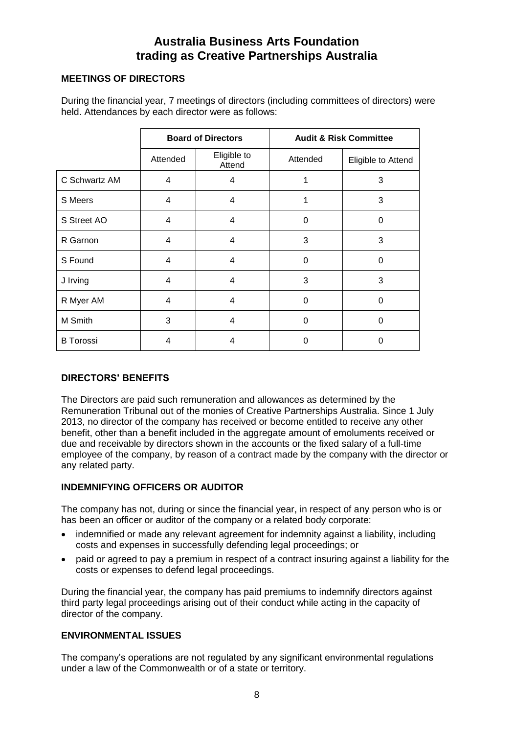#### **MEETINGS OF DIRECTORS**

During the financial year, 7 meetings of directors (including committees of directors) were held. Attendances by each director were as follows:

|                  | <b>Board of Directors</b><br><b>Audit &amp; Risk Committee</b> |                       |          |                    |
|------------------|----------------------------------------------------------------|-----------------------|----------|--------------------|
|                  | Attended                                                       | Eligible to<br>Attend | Attended | Eligible to Attend |
| C Schwartz AM    | $\overline{4}$                                                 | 4                     |          | 3                  |
| S Meers          | 4                                                              | 4                     |          | 3                  |
| S Street AO      | $\overline{4}$                                                 | $\overline{4}$        | $\Omega$ | $\Omega$           |
| R Garnon         | 4                                                              | $\overline{4}$        | 3        | 3                  |
| S Found          | $\overline{\mathbf{4}}$                                        | $\overline{4}$        | $\Omega$ | $\Omega$           |
| J Irving         | 4                                                              | 4                     | 3        | 3                  |
| R Myer AM        | 4                                                              | $\overline{4}$        | $\Omega$ | $\Omega$           |
| M Smith          | 3                                                              | $\overline{4}$        | $\Omega$ | $\Omega$           |
| <b>B</b> Torossi | 4                                                              | 4                     | 0        | O                  |

## **DIRECTORS' BENEFITS**

The Directors are paid such remuneration and allowances as determined by the Remuneration Tribunal out of the monies of Creative Partnerships Australia. Since 1 July 2013, no director of the company has received or become entitled to receive any other benefit, other than a benefit included in the aggregate amount of emoluments received or due and receivable by directors shown in the accounts or the fixed salary of a full-time employee of the company, by reason of a contract made by the company with the director or any related party.

## **INDEMNIFYING OFFICERS OR AUDITOR**

The company has not, during or since the financial year, in respect of any person who is or has been an officer or auditor of the company or a related body corporate:

- indemnified or made any relevant agreement for indemnity against a liability, including costs and expenses in successfully defending legal proceedings; or
- paid or agreed to pay a premium in respect of a contract insuring against a liability for the costs or expenses to defend legal proceedings.

During the financial year, the company has paid premiums to indemnify directors against third party legal proceedings arising out of their conduct while acting in the capacity of director of the company.

## **ENVIRONMENTAL ISSUES**

The company's operations are not regulated by any significant environmental regulations under a law of the Commonwealth or of a state or territory.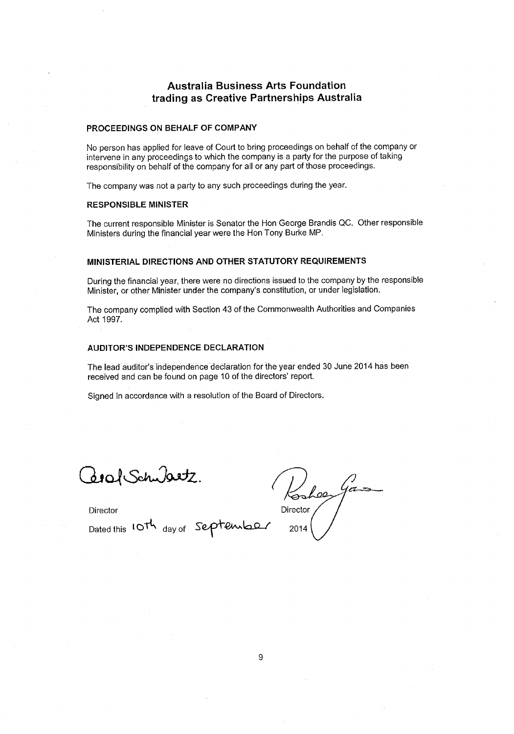#### PROCEEDINGS ON BEHALF OF COMPANY

No person has applied for leave of Court to bring proceedings on behalf of the company or intervene in any proceedings to which the company is a party for the purpose of taking responsibility on behalf of the company for all or any part of those proceedings.

The company was not a party to any such proceedings during the year.

#### **RESPONSIBLE MINISTER**

The current responsible Minister is Senator the Hon George Brandis QC. Other responsible Ministers during the financial year were the Hon Tony Burke MP.

#### MINISTERIAL DIRECTIONS AND OTHER STATUTORY REQUIREMENTS

During the financial year, there were no directions issued to the company by the responsible Minister, or other Minister under the company's constitution, or under legislation.

The company complied with Section 43 of the Commonwealth Authorities and Companies Act 1997.

#### AUDITOR'S INDEPENDENCE DECLARATION

The lead auditor's independence declaration for the year ended 30 June 2014 has been received and can be found on page 10 of the directors' report.

Signed in accordance with a resolution of the Board of Directors.

dool Schubetz  $\frac{1}{2}$ 

 $\sqrt{\frac{1}{1-\epsilon}}$  $\mathcal{L}_{02}$ Director 2014

Director

Dated this 10th day of September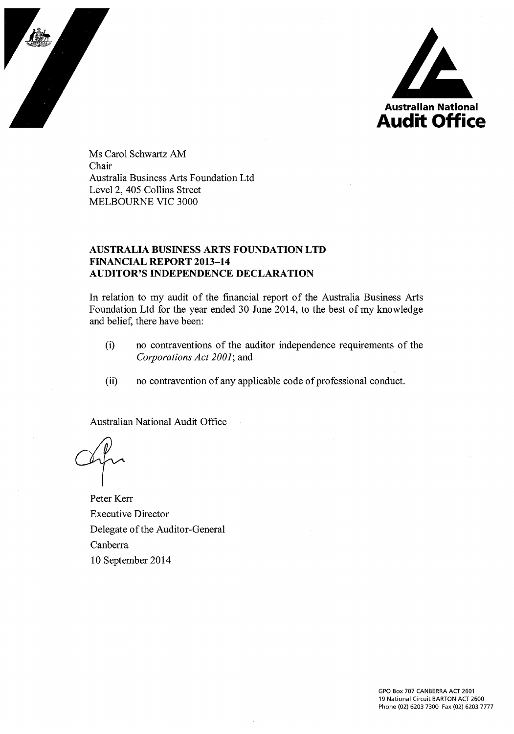

Ms Carol Schwartz AM Chair Australia Business Arts Foundation Ltd Level 2, 405 Collins Street MELBOURNE VIC 3000

#### **AUSTRALIA BUSINESS ARTS FOUNDATION LTD FINANCIAL REPORT 2013-14 AUDITOR'S INDEPENDENCE DECLARATION**

In relation to my audit of the financial report of the Australia Business Arts Foundation Ltd for the year ended 30 June 2014, to the best of my knowledge and belief, there have been:

- no contraventions of the auditor independence requirements of the  $(i)$ Corporations Act 2001; and
- no contravention of any applicable code of professional conduct.  $(ii)$

Australian National Audit Office

Peter Kerr **Executive Director** Delegate of the Auditor-General Canberra 10 September 2014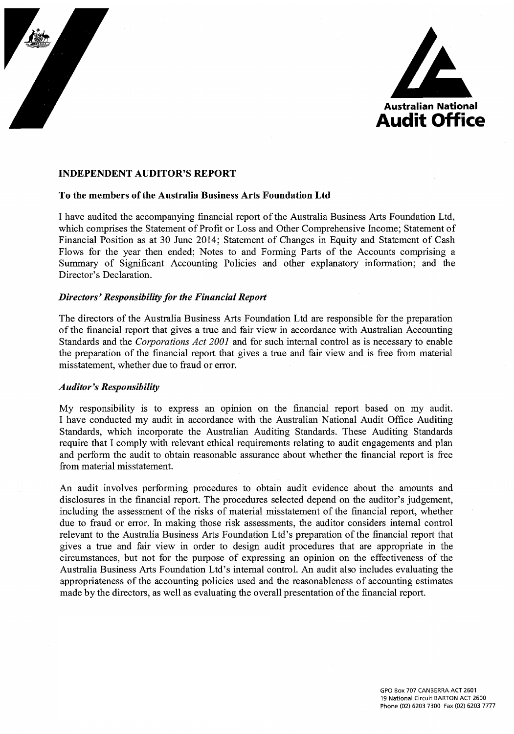



#### **INDEPENDENT AUDITOR'S REPORT**

#### To the members of the Australia Business Arts Foundation Ltd

I have audited the accompanying financial report of the Australia Business Arts Foundation Ltd, which comprises the Statement of Profit or Loss and Other Comprehensive Income; Statement of Financial Position as at 30 June 2014; Statement of Changes in Equity and Statement of Cash Flows for the year then ended; Notes to and Forming Parts of the Accounts comprising a Summary of Significant Accounting Policies and other explanatory information; and the Director's Declaration.

#### **Directors' Responsibility for the Financial Report**

The directors of the Australia Business Arts Foundation Ltd are responsible for the preparation of the financial report that gives a true and fair view in accordance with Australian Accounting Standards and the *Corporations Act 2001* and for such internal control as is necessary to enable the preparation of the financial report that gives a true and fair view and is free from material misstatement, whether due to fraud or error.

#### **Auditor's Responsibility**

My responsibility is to express an opinion on the financial report based on my audit. I have conducted my audit in accordance with the Australian National Audit Office Auditing Standards, which incorporate the Australian Auditing Standards. These Auditing Standards require that I comply with relevant ethical requirements relating to audit engagements and plan and perform the audit to obtain reasonable assurance about whether the financial report is free from material misstatement.

An audit involves performing procedures to obtain audit evidence about the amounts and disclosures in the financial report. The procedures selected depend on the auditor's judgement, including the assessment of the risks of material misstatement of the financial report, whether due to fraud or error. In making those risk assessments, the auditor considers internal control relevant to the Australia Business Arts Foundation Ltd's preparation of the financial report that gives a true and fair view in order to design audit procedures that are appropriate in the circumstances, but not for the purpose of expressing an opinion on the effectiveness of the Australia Business Arts Foundation Ltd's internal control. An audit also includes evaluating the appropriateness of the accounting policies used and the reasonableness of accounting estimates made by the directors, as well as evaluating the overall presentation of the financial report.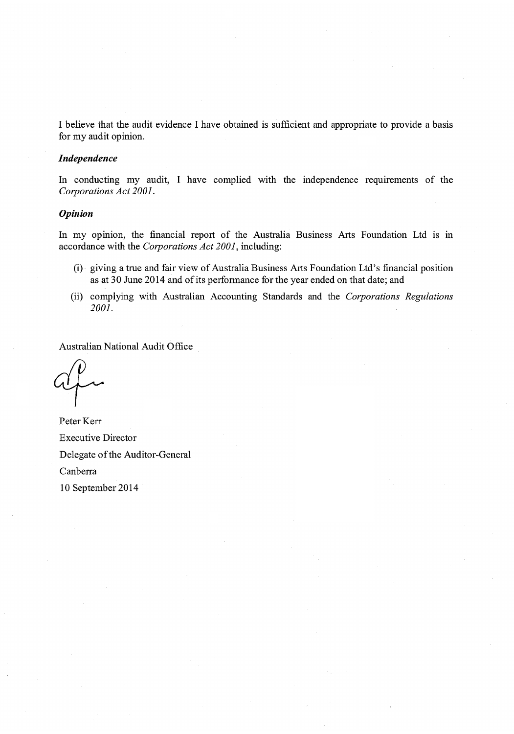I believe that the audit evidence I have obtained is sufficient and appropriate to provide a basis for my audit opinion.

#### Independence

In conducting my audit, I have complied with the independence requirements of the Corporations Act 2001.

#### **Opinion**

In my opinion, the financial report of the Australia Business Arts Foundation Ltd is in accordance with the Corporations Act 2001, including:

- (i) giving a true and fair view of Australia Business Arts Foundation Ltd's financial position as at 30 June 2014 and of its performance for the year ended on that date; and
- (ii) complying with Australian Accounting Standards and the Corporations Regulations 2001.

Australian National Audit Office

Peter Kerr **Executive Director** Delegate of the Auditor-General Canberra 10 September 2014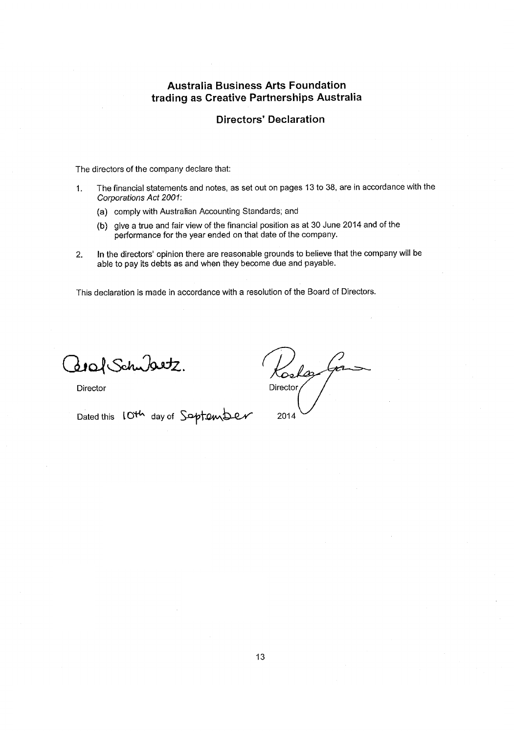#### **Directors' Declaration**

The directors of the company declare that:

- The financial statements and notes, as set out on pages 13 to 38, are in accordance with the  $\mathbf{1}$ . Corporations Act 2001:
	- (a) comply with Australian Accounting Standards; and
	- (b) give a true and fair view of the financial position as at 30 June 2014 and of the performance for the year ended on that date of the company.
- In the directors' opinion there are reasonable grounds to believe that the company will be  $2.$ able to pay its debts as and when they become due and payable.

This declaration is made in accordance with a resolution of the Board of Directors.

Zoraf Schubertz.

Director

Dated this 10th day of Soptember

Calar Director/ 2014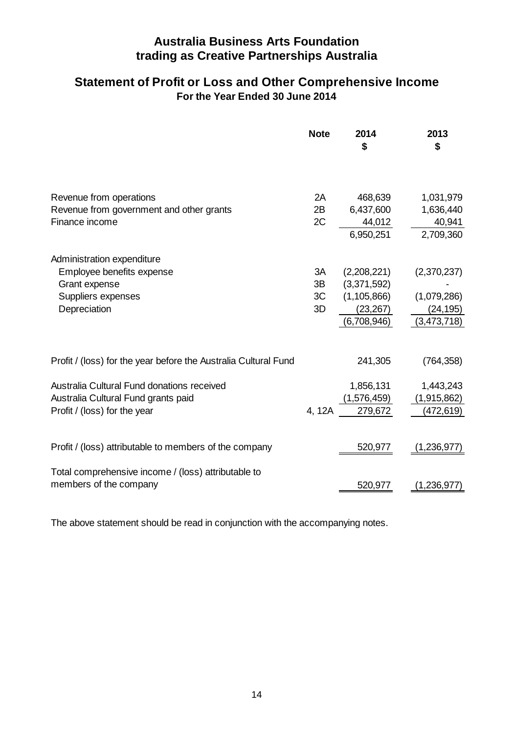# **For the Year Ended 30 June 2014 Statement of Profit or Loss and Other Comprehensive Income**

|                                                                 | <b>Note</b> | 2014<br>\$    | 2013<br>\$  |
|-----------------------------------------------------------------|-------------|---------------|-------------|
| Revenue from operations                                         | 2A          | 468,639       | 1,031,979   |
| Revenue from government and other grants                        | 2B          | 6,437,600     | 1,636,440   |
| Finance income                                                  | 2C          | 44,012        | 40,941      |
|                                                                 |             | 6.950.251     | 2,709,360   |
| Administration expenditure                                      |             |               |             |
| Employee benefits expense                                       | 3A          | (2,208,221)   | (2,370,237) |
| Grant expense                                                   | 3B          | (3,371,592)   |             |
| Suppliers expenses                                              | 3C          | (1, 105, 866) | (1,079,286) |
| Depreciation                                                    | 3D          | (23, 267)     | (24, 195)   |
|                                                                 |             | (6,708,946)   | (3,473,718) |
|                                                                 |             |               |             |
| Profit / (loss) for the year before the Australia Cultural Fund |             | 241,305       | (764, 358)  |
| Australia Cultural Fund donations received                      |             | 1,856,131     | 1,443,243   |
| Australia Cultural Fund grants paid                             |             | (1,576,459)   | (1,915,862) |
| Profit / (loss) for the year                                    | 4, 12A      | 279,672       | (472,619)   |
|                                                                 |             |               |             |
| Profit / (loss) attributable to members of the company          |             | 520,977       | (1,236,977) |
| Total comprehensive income / (loss) attributable to             |             |               |             |
| members of the company                                          |             | 520,977       | 1,236,977   |

The above statement should be read in conjunction with the accompanying notes.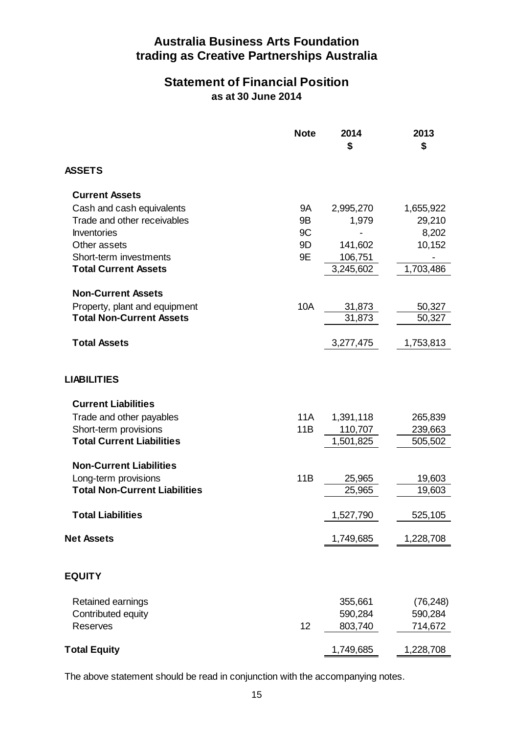# **Statement of Financial Position as at 30 June 2014**

|                                      | <b>Note</b> | 2014<br>\$ | 2013<br>\$      |
|--------------------------------------|-------------|------------|-----------------|
| <b>ASSETS</b>                        |             |            |                 |
| <b>Current Assets</b>                |             |            |                 |
| Cash and cash equivalents            | 9Α          | 2,995,270  | 1,655,922       |
| Trade and other receivables          | 9Β          | 1,979      | 29,210          |
| Inventories<br>Other assets          | 9C<br>9D    | 141,602    | 8,202<br>10,152 |
| Short-term investments               | 9Ε          | 106,751    |                 |
| <b>Total Current Assets</b>          |             | 3,245,602  | 1,703,486       |
| <b>Non-Current Assets</b>            |             |            |                 |
| Property, plant and equipment        | 10A         | 31,873     | 50,327          |
| <b>Total Non-Current Assets</b>      |             | 31.873     | 50,327          |
| <b>Total Assets</b>                  |             | 3,277,475  | 1,753,813       |
|                                      |             |            |                 |
| <b>LIABILITIES</b>                   |             |            |                 |
| <b>Current Liabilities</b>           |             |            |                 |
| Trade and other payables             | 11A         | 1,391,118  | 265,839         |
| Short-term provisions                | 11B         | 110,707    | 239,663         |
| <b>Total Current Liabilities</b>     |             | 1,501,825  | 505,502         |
| <b>Non-Current Liabilities</b>       |             |            |                 |
| Long-term provisions                 | 11B         | 25,965     | 19,603          |
| <b>Total Non-Current Liabilities</b> |             | 25,965     | 19,603          |
| <b>Total Liabilities</b>             |             | 1,527,790  | 525,105         |
| <b>Net Assets</b>                    |             | 1,749,685  | 1,228,708       |
|                                      |             |            |                 |
| <b>EQUITY</b>                        |             |            |                 |
| Retained earnings                    |             | 355,661    | (76, 248)       |
| Contributed equity                   |             | 590,284    | 590,284         |
| Reserves                             | 12          | 803,740    | 714,672         |
| <b>Total Equity</b>                  |             | 1,749,685  | 1,228,708       |

The above statement should be read in conjunction with the accompanying notes.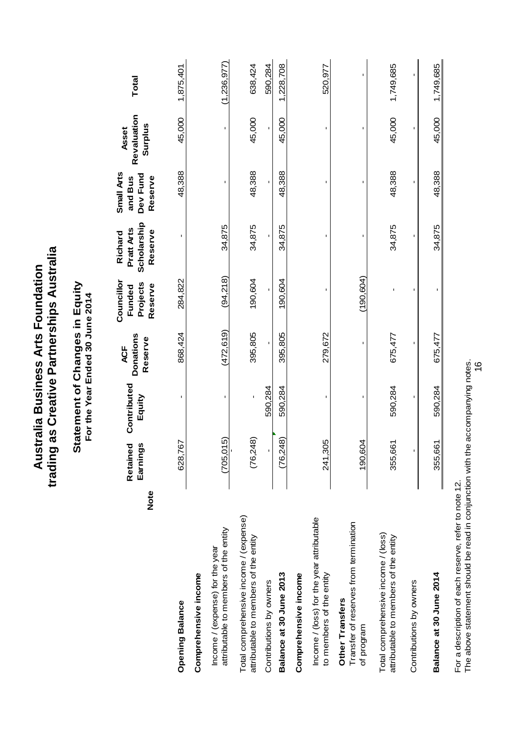|                                                                                 |            |                      | Statement of Changes in Equity<br>For the Year Ended 30 June 2014 |                                    |                                             |                                                 |                                              |                                 |               |
|---------------------------------------------------------------------------------|------------|----------------------|-------------------------------------------------------------------|------------------------------------|---------------------------------------------|-------------------------------------------------|----------------------------------------------|---------------------------------|---------------|
|                                                                                 | Note       | Retained<br>Earnings | Contributed<br>Equity                                             | Donations<br>Reserve<br><b>ACF</b> | Councillor<br>Projects<br>Reserve<br>Funded | Scholarship<br>Pratt Arts<br>Reserve<br>Richard | Small Arts<br>Dev Fund<br>and Bus<br>Reserve | Revaluation<br>Surplus<br>Asset | Total         |
| <b>Opening Balance</b>                                                          |            | 628,767              | $\blacksquare$                                                    | 868,424                            | 284,822                                     | $\mathbf{I}$                                    | 48,388                                       | 45,000                          | 1,875,401     |
| Comprehensive income                                                            |            |                      |                                                                   |                                    |                                             |                                                 |                                              |                                 |               |
| attributable to members of the entity<br>Income / (expense) for the year        |            | (705, 015)           |                                                                   | (472, 619)                         | (94, 218)                                   | 34,875                                          |                                              |                                 | (1, 236, 977) |
| Total comprehensive income / (expense)<br>attributable to members of the entity |            | (76, 248)            |                                                                   | 395,805                            | 190,604                                     | 34,875                                          | 48,388                                       | 45,000                          | 638,424       |
| Contributions by owners                                                         |            |                      | 590,284                                                           |                                    |                                             |                                                 |                                              |                                 | 590,284       |
| Balance at 30 June 2013                                                         |            | (76, 248)            | 590,284                                                           | 395,805                            | 190.604                                     | 34,875                                          | 48,388                                       | 45,000                          | 1,228,708     |
| Comprehensive income                                                            |            |                      |                                                                   |                                    |                                             |                                                 |                                              |                                 |               |
| Income / (loss) for the year attributable<br>to members of the entity           |            | 241,305              |                                                                   | 279,672                            | ı                                           |                                                 |                                              | ı                               | 520,977       |
| Transfer of reserves from termination<br>Other Transfers<br>of program          |            | 190,604              | $\blacksquare$                                                    | ı                                  | (190.604)                                   |                                                 | ٠                                            | ı                               | ı             |
| Total comprehensive income / (loss)<br>attributable to members of the entity    |            | 355,661              | 590,284                                                           | 675,477                            |                                             | 34,875                                          | 48,388                                       | 45,000                          | 1,749,685     |
| Contributions by owners                                                         |            |                      |                                                                   |                                    |                                             |                                                 | I.                                           | I.                              | í,            |
| Balance at 30 June 2014                                                         |            | 355,661              | 590,284                                                           | 675,477                            |                                             | 34,875                                          | 48,388                                       | 45,000                          | 1,749,685     |
| Ear a deceriming of each recense rater                                          | ta pata 19 |                      |                                                                   |                                    |                                             |                                                 |                                              |                                 |               |

trading as Creative Partnerships Australia Australia Business Arts Foundation

For a description of each reserve, refer to note 12.

For a description of each reserve, refer to note 12.<br>The above statement should be read in conjunction with the accompanying notes.<br>16 The above statement should be read in conjunction with the accompanying notes.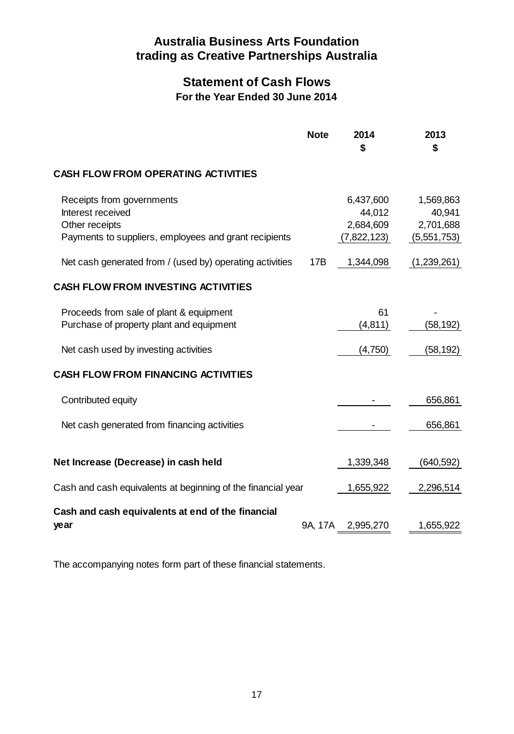# **Statement of Cash Flows For the Year Ended 30 June 2014**

|                                                                                                                           | <b>Note</b> | 2014<br>\$                                      | 2013<br>\$                                      |
|---------------------------------------------------------------------------------------------------------------------------|-------------|-------------------------------------------------|-------------------------------------------------|
| <b>CASH FLOW FROM OPERATING ACTIVITIES</b>                                                                                |             |                                                 |                                                 |
| Receipts from governments<br>Interest received<br>Other receipts<br>Payments to suppliers, employees and grant recipients |             | 6,437,600<br>44,012<br>2,684,609<br>(7,822,123) | 1,569,863<br>40,941<br>2,701,688<br>(5,551,753) |
| Net cash generated from / (used by) operating activities                                                                  | 17B         | 1,344,098                                       | (1,239,261)                                     |
| <b>CASH FLOW FROM INVESTING ACTIVITIES</b>                                                                                |             |                                                 |                                                 |
| Proceeds from sale of plant & equipment<br>Purchase of property plant and equipment                                       |             | 61<br>(4, 811)                                  | (58,192)                                        |
| Net cash used by investing activities                                                                                     |             | (4,750)                                         | (58, 192)                                       |
| <b>CASH FLOW FROM FINANCING ACTIVITIES</b>                                                                                |             |                                                 |                                                 |
| Contributed equity                                                                                                        |             |                                                 | 656,861                                         |
| Net cash generated from financing activities                                                                              |             |                                                 | 656,861                                         |
| Net Increase (Decrease) in cash held                                                                                      |             | 1,339,348                                       | (640, 592)                                      |
| Cash and cash equivalents at beginning of the financial year                                                              |             | 1,655,922                                       | 2,296,514                                       |
| Cash and cash equivalents at end of the financial                                                                         |             |                                                 |                                                 |
| year                                                                                                                      | 9A, 17A     | 2,995,270                                       | 1,655,922                                       |

The accompanying notes form part of these financial statements.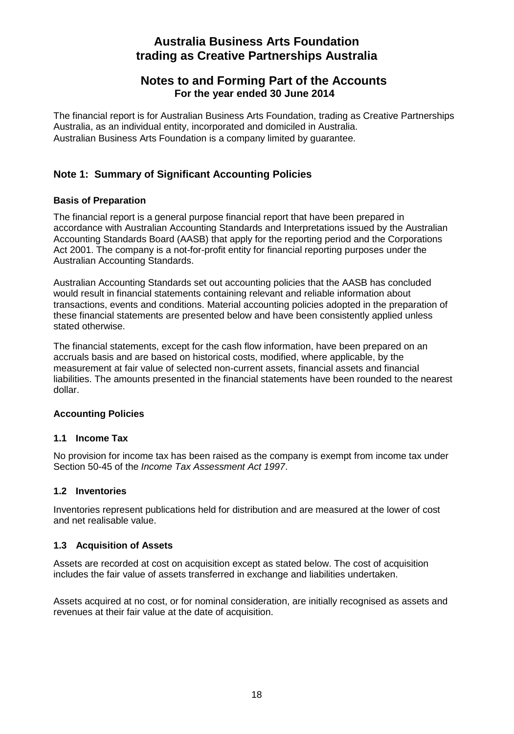## **Notes to and Forming Part of the Accounts For the year ended 30 June 2014**

The financial report is for Australian Business Arts Foundation, trading as Creative Partnerships Australia, as an individual entity, incorporated and domiciled in Australia. Australian Business Arts Foundation is a company limited by guarantee.

## **Note 1: Summary of Significant Accounting Policies**

## **Basis of Preparation**

The financial report is a general purpose financial report that have been prepared in accordance with Australian Accounting Standards and Interpretations issued by the Australian Accounting Standards Board (AASB) that apply for the reporting period and the Corporations Act 2001. The company is a not-for-profit entity for financial reporting purposes under the Australian Accounting Standards.

Australian Accounting Standards set out accounting policies that the AASB has concluded would result in financial statements containing relevant and reliable information about transactions, events and conditions. Material accounting policies adopted in the preparation of these financial statements are presented below and have been consistently applied unless stated otherwise.

The financial statements, except for the cash flow information, have been prepared on an accruals basis and are based on historical costs, modified, where applicable, by the measurement at fair value of selected non-current assets, financial assets and financial liabilities. The amounts presented in the financial statements have been rounded to the nearest dollar.

## **Accounting Policies**

## **1.1 Income Tax**

No provision for income tax has been raised as the company is exempt from income tax under Section 50-45 of the *Income Tax Assessment Act 1997*.

## **1.2 Inventories**

Inventories represent publications held for distribution and are measured at the lower of cost and net realisable value.

## **1.3 Acquisition of Assets**

Assets are recorded at cost on acquisition except as stated below. The cost of acquisition includes the fair value of assets transferred in exchange and liabilities undertaken.

Assets acquired at no cost, or for nominal consideration, are initially recognised as assets and revenues at their fair value at the date of acquisition.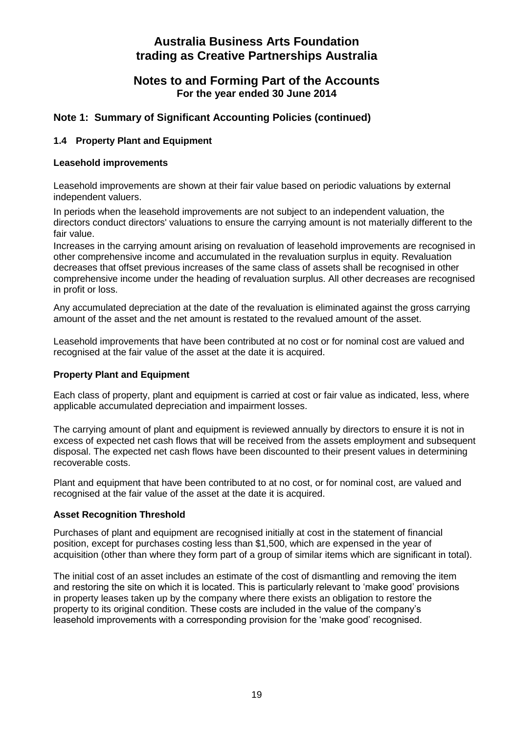## **Notes to and Forming Part of the Accounts For the year ended 30 June 2014**

## **Note 1: Summary of Significant Accounting Policies (continued)**

#### **1.4 Property Plant and Equipment**

#### **Leasehold improvements**

Leasehold improvements are shown at their fair value based on periodic valuations by external independent valuers.

In periods when the leasehold improvements are not subject to an independent valuation, the directors conduct directors' valuations to ensure the carrying amount is not materially different to the fair value.

Increases in the carrying amount arising on revaluation of leasehold improvements are recognised in other comprehensive income and accumulated in the revaluation surplus in equity. Revaluation decreases that offset previous increases of the same class of assets shall be recognised in other comprehensive income under the heading of revaluation surplus. All other decreases are recognised in profit or loss.

Any accumulated depreciation at the date of the revaluation is eliminated against the gross carrying amount of the asset and the net amount is restated to the revalued amount of the asset.

Leasehold improvements that have been contributed at no cost or for nominal cost are valued and recognised at the fair value of the asset at the date it is acquired.

#### **Property Plant and Equipment**

Each class of property, plant and equipment is carried at cost or fair value as indicated, less, where applicable accumulated depreciation and impairment losses.

The carrying amount of plant and equipment is reviewed annually by directors to ensure it is not in excess of expected net cash flows that will be received from the assets employment and subsequent disposal. The expected net cash flows have been discounted to their present values in determining recoverable costs.

Plant and equipment that have been contributed to at no cost, or for nominal cost, are valued and recognised at the fair value of the asset at the date it is acquired.

#### **Asset Recognition Threshold**

Purchases of plant and equipment are recognised initially at cost in the statement of financial position, except for purchases costing less than \$1,500, which are expensed in the year of acquisition (other than where they form part of a group of similar items which are significant in total).

The initial cost of an asset includes an estimate of the cost of dismantling and removing the item and restoring the site on which it is located. This is particularly relevant to 'make good' provisions in property leases taken up by the company where there exists an obligation to restore the property to its original condition. These costs are included in the value of the company's leasehold improvements with a corresponding provision for the 'make good' recognised.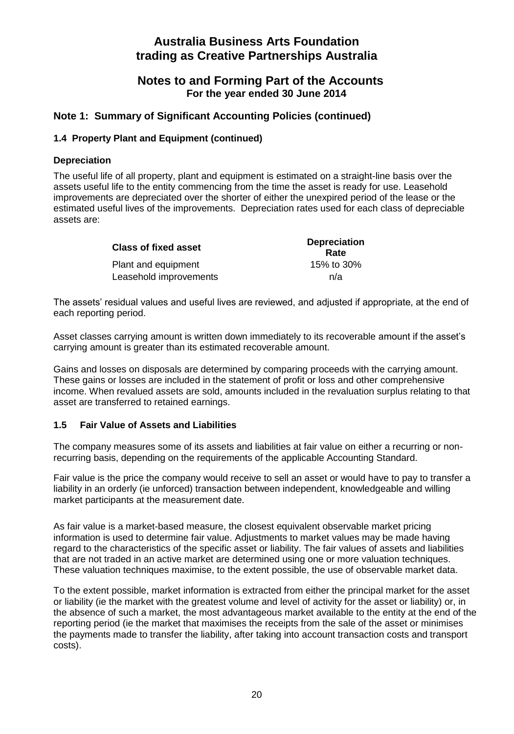## **Notes to and Forming Part of the Accounts For the year ended 30 June 2014**

## **Note 1: Summary of Significant Accounting Policies (continued)**

#### **1.4 Property Plant and Equipment (continued)**

#### **Depreciation**

The useful life of all property, plant and equipment is estimated on a straight-line basis over the assets useful life to the entity commencing from the time the asset is ready for use. Leasehold improvements are depreciated over the shorter of either the unexpired period of the lease or the estimated useful lives of the improvements. Depreciation rates used for each class of depreciable assets are:

| <b>Class of fixed asset</b> | <b>Depreciation</b><br>Rate |
|-----------------------------|-----------------------------|
| Plant and equipment         | 15% to 30%                  |
| Leasehold improvements      | n/a                         |

The assets' residual values and useful lives are reviewed, and adjusted if appropriate, at the end of each reporting period.

Asset classes carrying amount is written down immediately to its recoverable amount if the asset's carrying amount is greater than its estimated recoverable amount.

Gains and losses on disposals are determined by comparing proceeds with the carrying amount. These gains or losses are included in the statement of profit or loss and other comprehensive income. When revalued assets are sold, amounts included in the revaluation surplus relating to that asset are transferred to retained earnings.

#### **1.5 Fair Value of Assets and Liabilities**

The company measures some of its assets and liabilities at fair value on either a recurring or nonrecurring basis, depending on the requirements of the applicable Accounting Standard.

Fair value is the price the company would receive to sell an asset or would have to pay to transfer a liability in an orderly (ie unforced) transaction between independent, knowledgeable and willing market participants at the measurement date.

As fair value is a market-based measure, the closest equivalent observable market pricing information is used to determine fair value. Adjustments to market values may be made having regard to the characteristics of the specific asset or liability. The fair values of assets and liabilities that are not traded in an active market are determined using one or more valuation techniques. These valuation techniques maximise, to the extent possible, the use of observable market data.

To the extent possible, market information is extracted from either the principal market for the asset or liability (ie the market with the greatest volume and level of activity for the asset or liability) or, in the absence of such a market, the most advantageous market available to the entity at the end of the reporting period (ie the market that maximises the receipts from the sale of the asset or minimises the payments made to transfer the liability, after taking into account transaction costs and transport costs).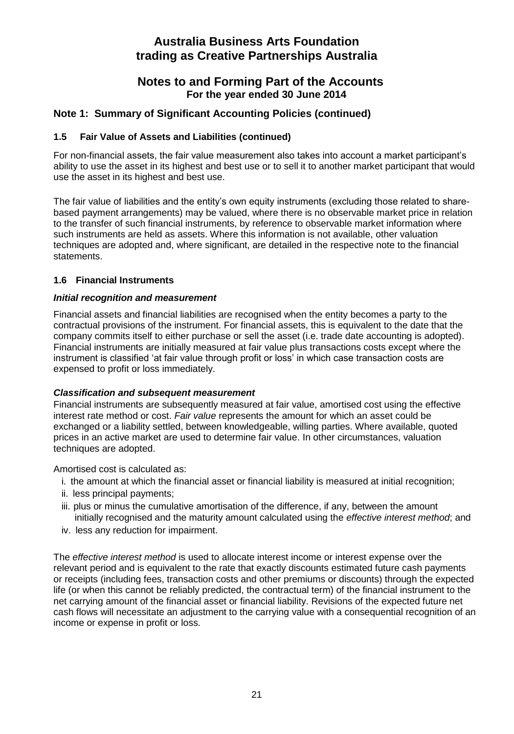## **Notes to and Forming Part of the Accounts For the year ended 30 June 2014**

## **Note 1: Summary of Significant Accounting Policies (continued)**

#### **1.5 Fair Value of Assets and Liabilities (continued)**

For non-financial assets, the fair value measurement also takes into account a market participant's ability to use the asset in its highest and best use or to sell it to another market participant that would use the asset in its highest and best use.

The fair value of liabilities and the entity's own equity instruments (excluding those related to sharebased payment arrangements) may be valued, where there is no observable market price in relation to the transfer of such financial instruments, by reference to observable market information where such instruments are held as assets. Where this information is not available, other valuation techniques are adopted and, where significant, are detailed in the respective note to the financial statements.

#### **1.6 Financial Instruments**

#### *Initial recognition and measurement*

Financial assets and financial liabilities are recognised when the entity becomes a party to the contractual provisions of the instrument. For financial assets, this is equivalent to the date that the company commits itself to either purchase or sell the asset (i.e. trade date accounting is adopted). Financial instruments are initially measured at fair value plus transactions costs except where the instrument is classified 'at fair value through profit or loss' in which case transaction costs are expensed to profit or loss immediately.

#### *Classification and subsequent measurement*

Financial instruments are subsequently measured at fair value, amortised cost using the effective interest rate method or cost. *Fair value* represents the amount for which an asset could be exchanged or a liability settled, between knowledgeable, willing parties. Where available, quoted prices in an active market are used to determine fair value. In other circumstances, valuation techniques are adopted.

Amortised cost is calculated as:

- i. the amount at which the financial asset or financial liability is measured at initial recognition;
- ii. less principal payments;
- iii. plus or minus the cumulative amortisation of the difference, if any, between the amount initially recognised and the maturity amount calculated using the *effective interest method*; and
- iv. less any reduction for impairment.

The *effective interest method* is used to allocate interest income or interest expense over the relevant period and is equivalent to the rate that exactly discounts estimated future cash payments or receipts (including fees, transaction costs and other premiums or discounts) through the expected life (or when this cannot be reliably predicted, the contractual term) of the financial instrument to the net carrying amount of the financial asset or financial liability. Revisions of the expected future net cash flows will necessitate an adjustment to the carrying value with a consequential recognition of an income or expense in profit or loss.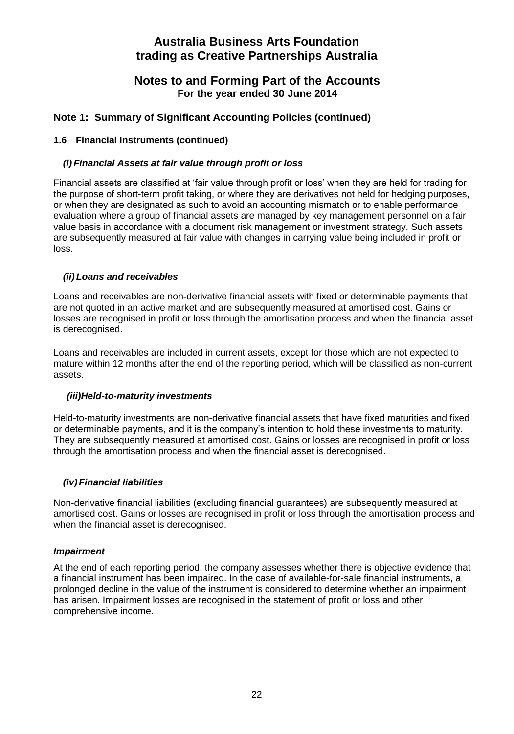## **Notes to and Forming Part of the Accounts For the year ended 30 June 2014**

## **Note 1: Summary of Significant Accounting Policies (continued)**

#### **1.6 Financial Instruments (continued)**

#### *(i) Financial Assets at fair value through profit or loss*

Financial assets are classified at 'fair value through profit or loss' when they are held for trading for the purpose of short-term profit taking, or where they are derivatives not held for hedging purposes, or when they are designated as such to avoid an accounting mismatch or to enable performance evaluation where a group of financial assets are managed by key management personnel on a fair value basis in accordance with a document risk management or investment strategy. Such assets are subsequently measured at fair value with changes in carrying value being included in profit or loss.

#### *(ii) Loans and receivables*

Loans and receivables are non-derivative financial assets with fixed or determinable payments that are not quoted in an active market and are subsequently measured at amortised cost. Gains or losses are recognised in profit or loss through the amortisation process and when the financial asset is derecognised.

Loans and receivables are included in current assets, except for those which are not expected to mature within 12 months after the end of the reporting period, which will be classified as non-current assets.

#### *(iii)Held-to-maturity investments*

Held-to-maturity investments are non-derivative financial assets that have fixed maturities and fixed or determinable payments, and it is the company's intention to hold these investments to maturity. They are subsequently measured at amortised cost. Gains or losses are recognised in profit or loss through the amortisation process and when the financial asset is derecognised.

#### *(iv) Financial liabilities*

Non-derivative financial liabilities (excluding financial guarantees) are subsequently measured at amortised cost. Gains or losses are recognised in profit or loss through the amortisation process and when the financial asset is derecognised.

#### *Impairment*

At the end of each reporting period, the company assesses whether there is objective evidence that a financial instrument has been impaired. In the case of available-for-sale financial instruments, a prolonged decline in the value of the instrument is considered to determine whether an impairment has arisen. Impairment losses are recognised in the statement of profit or loss and other comprehensive income.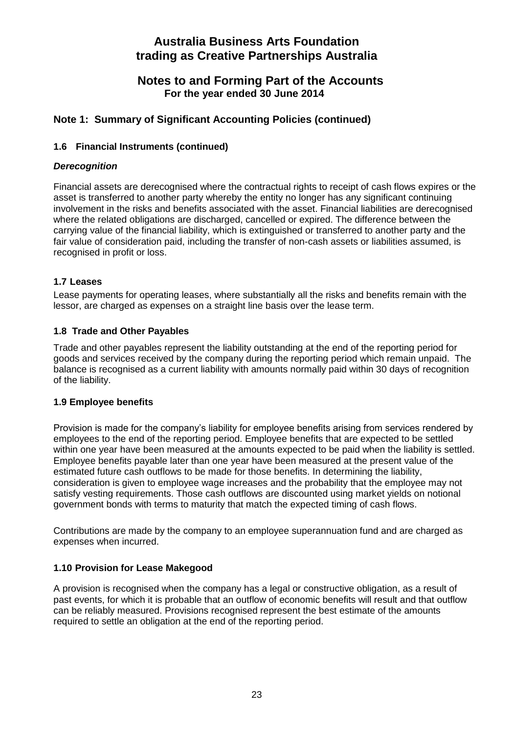## **Notes to and Forming Part of the Accounts For the year ended 30 June 2014**

## **Note 1: Summary of Significant Accounting Policies (continued)**

#### **1.6 Financial Instruments (continued)**

#### *Derecognition*

Financial assets are derecognised where the contractual rights to receipt of cash flows expires or the asset is transferred to another party whereby the entity no longer has any significant continuing involvement in the risks and benefits associated with the asset. Financial liabilities are derecognised where the related obligations are discharged, cancelled or expired. The difference between the carrying value of the financial liability, which is extinguished or transferred to another party and the fair value of consideration paid, including the transfer of non-cash assets or liabilities assumed, is recognised in profit or loss.

#### **1.7 Leases**

Lease payments for operating leases, where substantially all the risks and benefits remain with the lessor, are charged as expenses on a straight line basis over the lease term.

#### **1.8 Trade and Other Payables**

Trade and other payables represent the liability outstanding at the end of the reporting period for goods and services received by the company during the reporting period which remain unpaid. The balance is recognised as a current liability with amounts normally paid within 30 days of recognition of the liability.

#### **1.9 Employee benefits**

Provision is made for the company's liability for employee benefits arising from services rendered by employees to the end of the reporting period. Employee benefits that are expected to be settled within one year have been measured at the amounts expected to be paid when the liability is settled. Employee benefits payable later than one year have been measured at the present value of the estimated future cash outflows to be made for those benefits. In determining the liability, consideration is given to employee wage increases and the probability that the employee may not satisfy vesting requirements. Those cash outflows are discounted using market yields on notional government bonds with terms to maturity that match the expected timing of cash flows.

Contributions are made by the company to an employee superannuation fund and are charged as expenses when incurred.

#### **1.10 Provision for Lease Makegood**

A provision is recognised when the company has a legal or constructive obligation, as a result of past events, for which it is probable that an outflow of economic benefits will result and that outflow can be reliably measured. Provisions recognised represent the best estimate of the amounts required to settle an obligation at the end of the reporting period.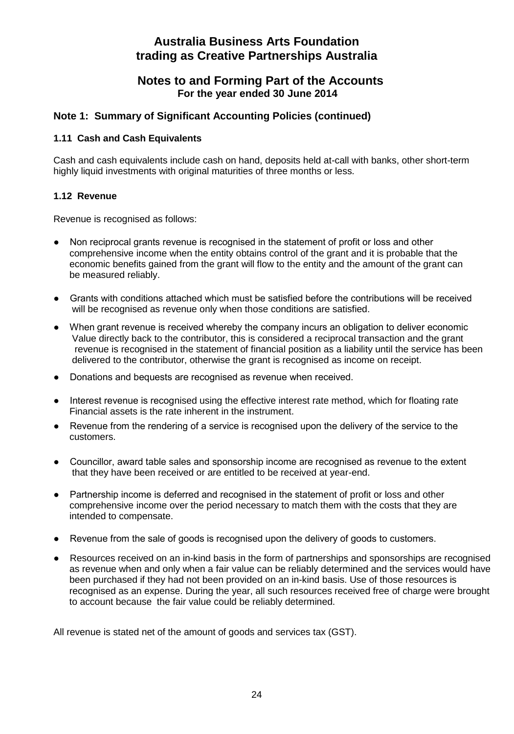## **Notes to and Forming Part of the Accounts For the year ended 30 June 2014**

## **Note 1: Summary of Significant Accounting Policies (continued)**

#### **1.11 Cash and Cash Equivalents**

Cash and cash equivalents include cash on hand, deposits held at-call with banks, other short-term highly liquid investments with original maturities of three months or less.

#### **1.12 Revenue**

Revenue is recognised as follows:

- Non reciprocal grants revenue is recognised in the statement of profit or loss and other comprehensive income when the entity obtains control of the grant and it is probable that the economic benefits gained from the grant will flow to the entity and the amount of the grant can be measured reliably.
- Grants with conditions attached which must be satisfied before the contributions will be received will be recognised as revenue only when those conditions are satisfied.
- When grant revenue is received whereby the company incurs an obligation to deliver economic Value directly back to the contributor, this is considered a reciprocal transaction and the grant revenue is recognised in the statement of financial position as a liability until the service has been delivered to the contributor, otherwise the grant is recognised as income on receipt.
- Donations and bequests are recognised as revenue when received.
- Interest revenue is recognised using the effective interest rate method, which for floating rate Financial assets is the rate inherent in the instrument.
- Revenue from the rendering of a service is recognised upon the delivery of the service to the customers.
- Councillor, award table sales and sponsorship income are recognised as revenue to the extent that they have been received or are entitled to be received at year-end.
- Partnership income is deferred and recognised in the statement of profit or loss and other comprehensive income over the period necessary to match them with the costs that they are intended to compensate.
- Revenue from the sale of goods is recognised upon the delivery of goods to customers.
- Resources received on an in-kind basis in the form of partnerships and sponsorships are recognised as revenue when and only when a fair value can be reliably determined and the services would have been purchased if they had not been provided on an in-kind basis. Use of those resources is recognised as an expense. During the year, all such resources received free of charge were brought to account because the fair value could be reliably determined.

All revenue is stated net of the amount of goods and services tax (GST).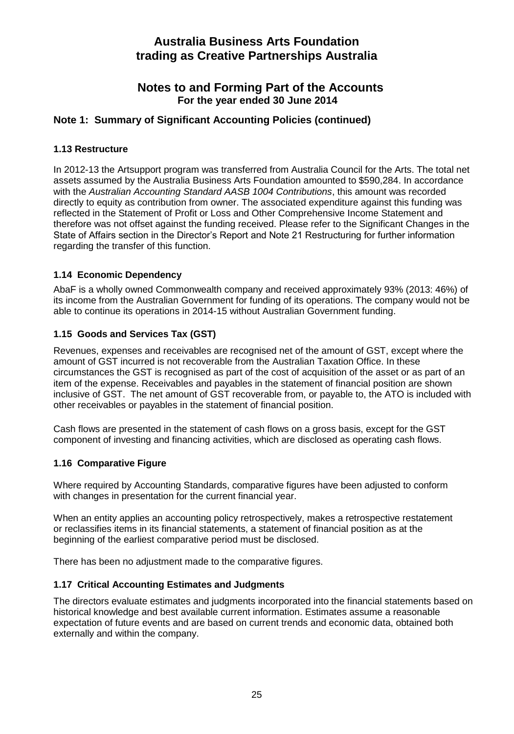## **Notes to and Forming Part of the Accounts For the year ended 30 June 2014**

## **Note 1: Summary of Significant Accounting Policies (continued)**

#### **1.13 Restructure**

In 2012-13 the Artsupport program was transferred from Australia Council for the Arts. The total net assets assumed by the Australia Business Arts Foundation amounted to \$590,284. In accordance with the *Australian Accounting Standard AASB 1004 Contributions*, this amount was recorded directly to equity as contribution from owner. The associated expenditure against this funding was reflected in the Statement of Profit or Loss and Other Comprehensive Income Statement and therefore was not offset against the funding received. Please refer to the Significant Changes in the State of Affairs section in the Director's Report and Note 21 Restructuring for further information regarding the transfer of this function.

#### **1.14 Economic Dependency**

AbaF is a wholly owned Commonwealth company and received approximately 93% (2013: 46%) of its income from the Australian Government for funding of its operations. The company would not be able to continue its operations in 2014-15 without Australian Government funding.

#### **1.15 Goods and Services Tax (GST)**

Revenues, expenses and receivables are recognised net of the amount of GST, except where the amount of GST incurred is not recoverable from the Australian Taxation Office. In these circumstances the GST is recognised as part of the cost of acquisition of the asset or as part of an item of the expense. Receivables and payables in the statement of financial position are shown inclusive of GST. The net amount of GST recoverable from, or payable to, the ATO is included with other receivables or payables in the statement of financial position.

Cash flows are presented in the statement of cash flows on a gross basis, except for the GST component of investing and financing activities, which are disclosed as operating cash flows.

#### **1.16 Comparative Figure**

Where required by Accounting Standards, comparative figures have been adjusted to conform with changes in presentation for the current financial year.

When an entity applies an accounting policy retrospectively, makes a retrospective restatement or reclassifies items in its financial statements, a statement of financial position as at the beginning of the earliest comparative period must be disclosed.

There has been no adjustment made to the comparative figures.

#### **1.17 Critical Accounting Estimates and Judgments**

The directors evaluate estimates and judgments incorporated into the financial statements based on historical knowledge and best available current information. Estimates assume a reasonable expectation of future events and are based on current trends and economic data, obtained both externally and within the company.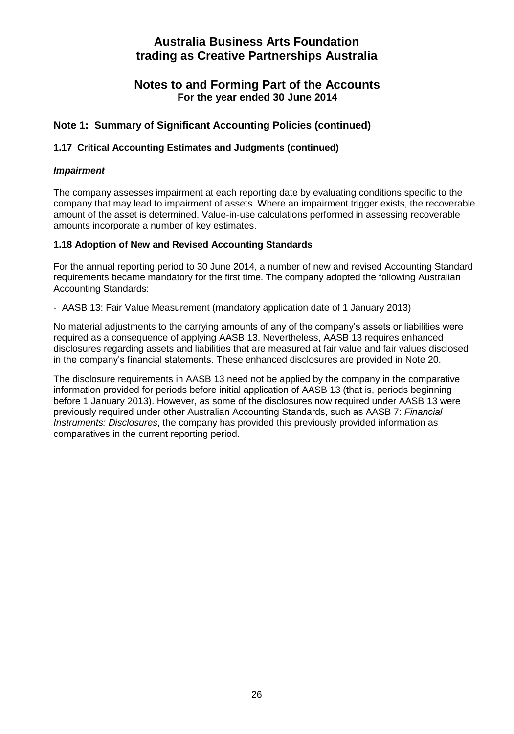## **Notes to and Forming Part of the Accounts For the year ended 30 June 2014**

## **Note 1: Summary of Significant Accounting Policies (continued)**

#### **1.17 Critical Accounting Estimates and Judgments (continued)**

#### *Impairment*

The company assesses impairment at each reporting date by evaluating conditions specific to the company that may lead to impairment of assets. Where an impairment trigger exists, the recoverable amount of the asset is determined. Value-in-use calculations performed in assessing recoverable amounts incorporate a number of key estimates.

#### **1.18 Adoption of New and Revised Accounting Standards**

For the annual reporting period to 30 June 2014, a number of new and revised Accounting Standard requirements became mandatory for the first time. The company adopted the following Australian Accounting Standards:

- AASB 13: Fair Value Measurement (mandatory application date of 1 January 2013)

No material adjustments to the carrying amounts of any of the company's assets or liabilities were required as a consequence of applying AASB 13. Nevertheless, AASB 13 requires enhanced disclosures regarding assets and liabilities that are measured at fair value and fair values disclosed in the company's financial statements. These enhanced disclosures are provided in Note 20.

The disclosure requirements in AASB 13 need not be applied by the company in the comparative information provided for periods before initial application of AASB 13 (that is, periods beginning before 1 January 2013). However, as some of the disclosures now required under AASB 13 were previously required under other Australian Accounting Standards, such as AASB 7: *Financial Instruments: Disclosures*, the company has provided this previously provided information as comparatives in the current reporting period.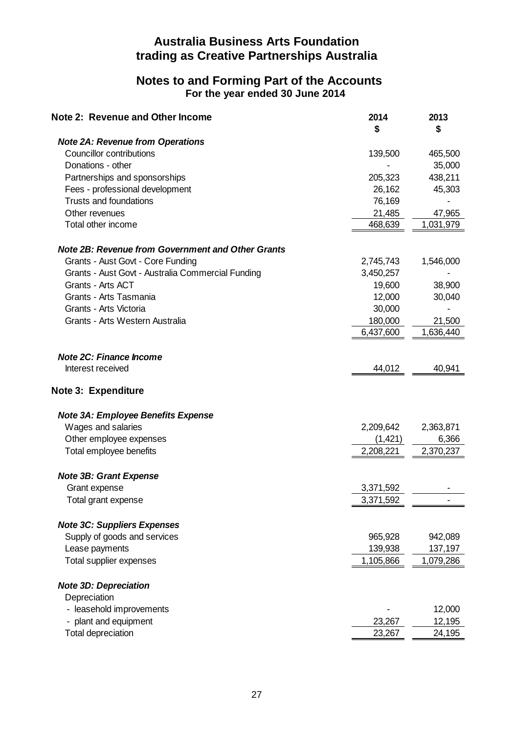## **Notes to and Forming Part of the Accounts For the year ended 30 June 2014**

| Note 2: Revenue and Other Income                         | 2014<br>\$ | 2013<br>\$ |
|----------------------------------------------------------|------------|------------|
| <b>Note 2A: Revenue from Operations</b>                  |            |            |
| Councillor contributions                                 | 139,500    | 465,500    |
| Donations - other                                        |            | 35,000     |
| Partnerships and sponsorships                            | 205,323    | 438,211    |
| Fees - professional development                          | 26,162     | 45,303     |
| Trusts and foundations                                   | 76,169     |            |
| Other revenues                                           | 21,485     | 47,965     |
| Total other income                                       | 468,639    | 1,031,979  |
| <b>Note 2B: Revenue from Government and Other Grants</b> |            |            |
| Grants - Aust Govt - Core Funding                        | 2,745,743  | 1,546,000  |
| Grants - Aust Govt - Australia Commercial Funding        | 3,450,257  |            |
| Grants - Arts ACT                                        | 19,600     | 38,900     |
| Grants - Arts Tasmania                                   | 12,000     | 30,040     |
| Grants - Arts Victoria                                   | 30,000     |            |
| Grants - Arts Western Australia                          | 180,000    | 21,500     |
|                                                          | 6,437,600  | 1,636,440  |
| Note 2C: Finance Income                                  |            |            |
| Interest received                                        | 44,012     | 40,941     |
| Note 3: Expenditure                                      |            |            |
| Note 3A: Employee Benefits Expense                       |            |            |
| Wages and salaries                                       | 2,209,642  | 2,363,871  |
| Other employee expenses                                  | (1,421)    | 6,366      |
| Total employee benefits                                  | 2,208,221  | 2,370,237  |
| <b>Note 3B: Grant Expense</b>                            |            |            |
| Grant expense                                            | 3,371,592  |            |
| Total grant expense                                      | 3,371,592  |            |
| <b>Note 3C: Suppliers Expenses</b>                       |            |            |
| Supply of goods and services                             | 965,928    | 942,089    |
| Lease payments                                           | 139,938    | 137,197    |
| Total supplier expenses                                  | 1,105,866  | 1,079,286  |
| <b>Note 3D: Depreciation</b>                             |            |            |
| Depreciation                                             |            |            |
| - leasehold improvements                                 |            | 12,000     |
| - plant and equipment                                    | 23,267     | 12,195     |
| Total depreciation                                       | 23,267     | 24,195     |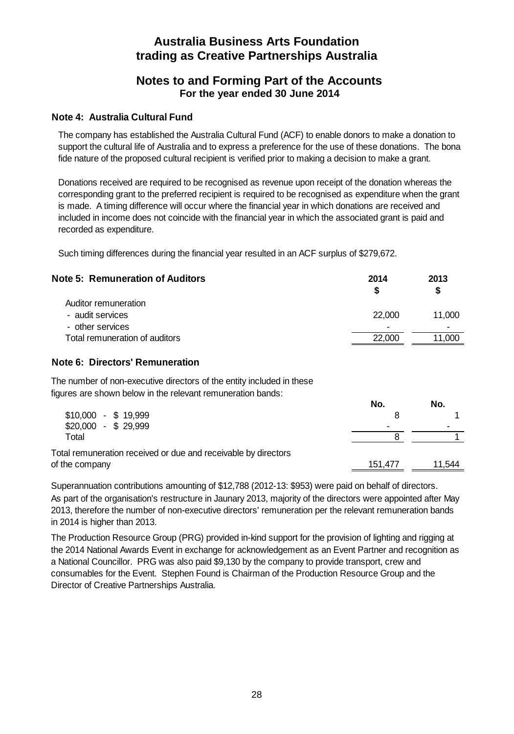## **Notes to and Forming Part of the Accounts For the year ended 30 June 2014**

#### **Note 4: Australia Cultural Fund**

The company has established the Australia Cultural Fund (ACF) to enable donors to make a donation to support the cultural life of Australia and to express a preference for the use of these donations. The bona fide nature of the proposed cultural recipient is verified prior to making a decision to make a grant.

Donations received are required to be recognised as revenue upon receipt of the donation whereas the corresponding grant to the preferred recipient is required to be recognised as expenditure when the grant is made. A timing difference will occur where the financial year in which donations are received and included in income does not coincide with the financial year in which the associated grant is paid and recorded as expenditure.

Such timing differences during the financial year resulted in an ACF surplus of \$279,672.

| <b>Note 5: Remuneration of Auditors</b> | 2014   | 2013<br>S |
|-----------------------------------------|--------|-----------|
| Auditor remuneration                    |        |           |
| - audit services                        | 22,000 | 11.000    |
| - other services                        | -      | -         |
| Total remuneration of auditors          | 22,000 | 11.000    |

#### **Note 6: Directors' Remuneration**

The number of non-executive directors of the entity included in these figures are shown below in the relevant remuneration bands:

|                                                                | No.     | No.    |
|----------------------------------------------------------------|---------|--------|
| $$10.000 - $19.999$                                            |         |        |
| $$20.000 - $29.999$                                            |         |        |
| Total                                                          |         |        |
| Total remuneration received or due and receivable by directors |         |        |
| of the company                                                 | 151.477 | 11.544 |

As part of the organisation's restructure in Jaunary 2013, majority of the directors were appointed after May 2013, therefore the number of non-executive directors' remuneration per the relevant remuneration bands in 2014 is higher than 2013. Superannuation contributions amounting of \$12,788 (2012-13: \$953) were paid on behalf of directors.

The Production Resource Group (PRG) provided in-kind support for the provision of lighting and rigging at the 2014 National Awards Event in exchange for acknowledgement as an Event Partner and recognition as a National Councillor. PRG was also paid \$9,130 by the company to provide transport, crew and consumables for the Event. Stephen Found is Chairman of the Production Resource Group and the Director of Creative Partnerships Australia.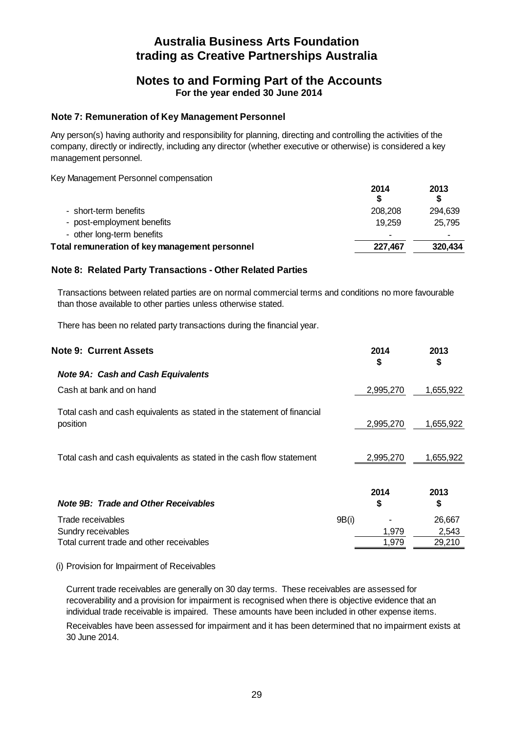## **Notes to and Forming Part of the Accounts For the year ended 30 June 2014**

#### **Note 7: Remuneration of Key Management Personnel**

Any person(s) having authority and responsibility for planning, directing and controlling the activities of the company, directly or indirectly, including any director (whether executive or otherwise) is considered a key management personnel.

Key Management Personnel compensation

|                                                | 2014    | 2013    |
|------------------------------------------------|---------|---------|
| - short-term benefits                          | 208,208 | 294.639 |
| - post-employment benefits                     | 19.259  | 25.795  |
| - other long-term benefits                     |         |         |
| Total remuneration of key management personnel | 227.467 | 320,434 |
|                                                |         |         |

#### **Note 8: Related Party Transactions - Other Related Parties**

Transactions between related parties are on normal commercial terms and conditions no more favourable than those available to other parties unless otherwise stated.

There has been no related party transactions during the financial year.

| <b>Note 9: Current Assets</b>                                                       |       | 2014<br>\$ | 2013<br>\$ |
|-------------------------------------------------------------------------------------|-------|------------|------------|
| <b>Note 9A: Cash and Cash Equivalents</b>                                           |       |            |            |
| Cash at bank and on hand                                                            |       | 2,995,270  | 1,655,922  |
| Total cash and cash equivalents as stated in the statement of financial<br>position |       | 2,995,270  | 1,655,922  |
| Total cash and cash equivalents as stated in the cash flow statement                |       | 2,995,270  | 1,655,922  |
| Note 9B: Trade and Other Receivables                                                |       | 2014<br>\$ | 2013<br>\$ |
| Trade receivables                                                                   | 9B(i) |            | 26,667     |
| Sundry receivables                                                                  |       | 1,979      | 2,543      |
| Total current trade and other receivables                                           |       | 1,979      | 29,210     |

#### (i) Provision for Impairment of Receivables

Current trade receivables are generally on 30 day terms. These receivables are assessed for recoverability and a provision for impairment is recognised when there is objective evidence that an individual trade receivable is impaired. These amounts have been included in other expense items. Receivables have been assessed for impairment and it has been determined that no impairment exists at 30 June 2014.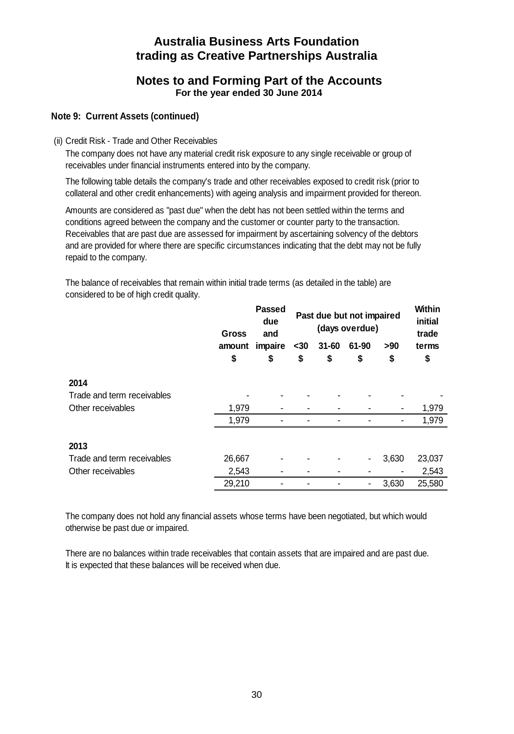## **Notes to and Forming Part of the Accounts For the year ended 30 June 2014**

#### **Note 9: Current Assets (continued)**

(ii) Credit Risk - Trade and Other Receivables

The company does not have any material credit risk exposure to any single receivable or group of receivables under financial instruments entered into by the company.

The following table details the company's trade and other receivables exposed to credit risk (prior to collateral and other credit enhancements) with ageing analysis and impairment provided for thereon.

Amounts are considered as "past due" when the debt has not been settled within the terms and conditions agreed between the company and the customer or counter party to the transaction. Receivables that are past due are assessed for impairment by ascertaining solvency of the debtors and are provided for where there are specific circumstances indicating that the debt may not be fully repaid to the company.

The balance of receivables that remain within initial trade terms (as detailed in the table) are considered to be of high credit quality.

|                            | Gross  | <b>Passed</b><br>due<br>and |      |           | Past due but not impaired<br>(days overdue) |       | Within<br>initial<br>trade |
|----------------------------|--------|-----------------------------|------|-----------|---------------------------------------------|-------|----------------------------|
|                            | amount | impaire                     | $30$ | $31 - 60$ | 61-90                                       | >90   | terms                      |
|                            | \$     | \$                          | \$   | \$        | \$                                          | \$    | \$                         |
| 2014                       |        |                             |      |           |                                             |       |                            |
| Trade and term receivables |        |                             |      |           |                                             |       |                            |
| Other receivables          | 1,979  |                             |      |           |                                             |       | 1,979                      |
|                            | 1,979  |                             |      |           |                                             |       | 1,979                      |
| 2013                       |        |                             |      |           |                                             |       |                            |
| Trade and term receivables | 26,667 |                             |      |           | ٠                                           | 3,630 | 23,037                     |
| Other receivables          | 2,543  | ۰                           |      |           |                                             |       | 2,543                      |
|                            | 29,210 |                             |      |           |                                             | 3,630 | 25,580                     |

The company does not hold any financial assets whose terms have been negotiated, but which would otherwise be past due or impaired.

There are no balances within trade receivables that contain assets that are impaired and are past due. It is expected that these balances will be received when due.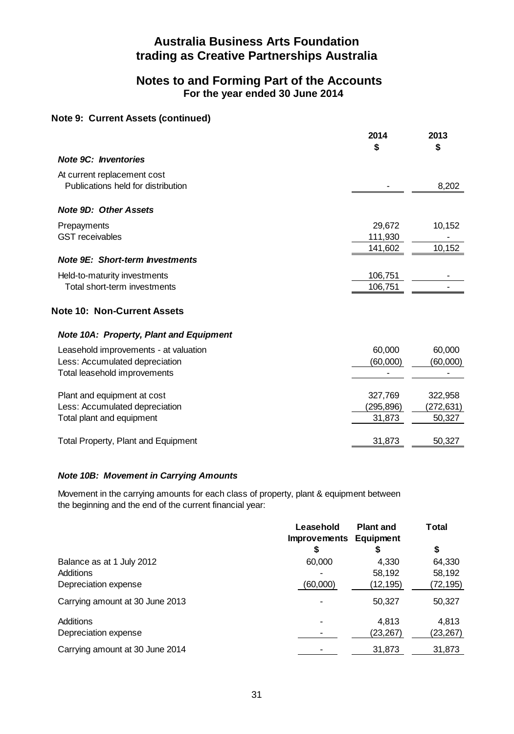## **Notes to and Forming Part of the Accounts For the year ended 30 June 2014**

#### **Note 9: Current Assets (continued)**

|                                                                   | 2014<br>\$        | 2013<br>\$ |
|-------------------------------------------------------------------|-------------------|------------|
| <b>Note 9C: Inventories</b>                                       |                   |            |
| At current replacement cost<br>Publications held for distribution |                   | 8,202      |
| <b>Note 9D: Other Assets</b>                                      |                   |            |
| Prepayments<br><b>GST</b> receivables                             | 29,672<br>111,930 | 10,152     |
|                                                                   | 141,602           | 10,152     |
| <b>Note 9E: Short-term Investments</b>                            |                   |            |
| Held-to-maturity investments                                      | 106,751           |            |
| Total short-term investments                                      | 106,751           |            |
| <b>Note 10: Non-Current Assets</b>                                |                   |            |
| <b>Note 10A: Property, Plant and Equipment</b>                    |                   |            |
| Leasehold improvements - at valuation                             | 60,000            | 60,000     |
| Less: Accumulated depreciation                                    | (60,000)          | (60,000)   |
| Total leasehold improvements                                      |                   |            |
|                                                                   | 327,769           | 322,958    |
| Plant and equipment at cost<br>Less: Accumulated depreciation     | (295,896)         | (272,631)  |
| Total plant and equipment                                         | 31,873            | 50,327     |
|                                                                   |                   |            |
| Total Property, Plant and Equipment                               | 31,873            | 50,327     |

#### *Note 10B: Movement in Carrying Amounts*

Movement in the carrying amounts for each class of property, plant & equipment between the beginning and the end of the current financial year:

|                                 | Leasehold<br><b>Improvements</b> | <b>Plant and</b><br>Equipment | Total    |
|---------------------------------|----------------------------------|-------------------------------|----------|
|                                 | \$                               | \$                            | \$       |
| Balance as at 1 July 2012       | 60,000                           | 4,330                         | 64,330   |
| Additions                       |                                  | 58,192                        | 58,192   |
| Depreciation expense            | (60,000)                         | (12,195)                      | (72,195) |
| Carrying amount at 30 June 2013 |                                  | 50,327                        | 50,327   |
| Additions                       |                                  | 4,813                         | 4,813    |
| Depreciation expense            |                                  | (23,267)                      | (23,267) |
| Carrying amount at 30 June 2014 |                                  | 31.873                        | 31,873   |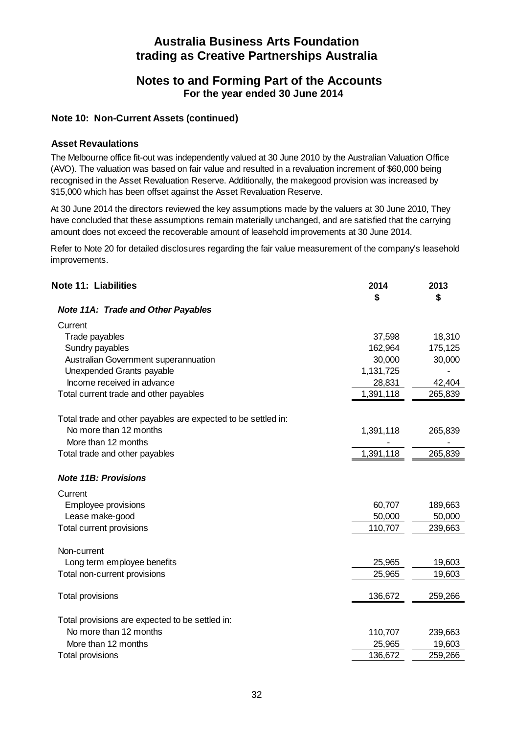## **Notes to and Forming Part of the Accounts For the year ended 30 June 2014**

#### **Note 10: Non-Current Assets (continued)**

#### **Asset Revaulations**

The Melbourne office fit-out was independently valued at 30 June 2010 by the Australian Valuation Office (AVO). The valuation was based on fair value and resulted in a revaluation increment of \$60,000 being recognised in the Asset Revaluation Reserve. Additionally, the makegood provision was increased by \$15,000 which has been offset against the Asset Revaluation Reserve.

At 30 June 2014 the directors reviewed the key assumptions made by the valuers at 30 June 2010, They have concluded that these assumptions remain materially unchanged, and are satisfied that the carrying amount does not exceed the recoverable amount of leasehold improvements at 30 June 2014.

Refer to Note 20 for detailed disclosures regarding the fair value measurement of the company's leasehold improvements.

| <b>Note 11: Liabilities</b>                                   | 2014<br>\$ | 2013<br>\$ |
|---------------------------------------------------------------|------------|------------|
| Note 11A: Trade and Other Payables                            |            |            |
| Current                                                       |            |            |
| Trade payables                                                | 37,598     | 18,310     |
| Sundry payables                                               | 162,964    | 175,125    |
| Australian Government superannuation                          | 30,000     | 30,000     |
| Unexpended Grants payable                                     | 1,131,725  |            |
| Income received in advance                                    | 28,831     | 42,404     |
| Total current trade and other payables                        | 1,391,118  | 265,839    |
| Total trade and other payables are expected to be settled in: |            |            |
| No more than 12 months                                        | 1,391,118  | 265,839    |
| More than 12 months                                           |            |            |
| Total trade and other payables                                | 1,391,118  | 265,839    |
| <b>Note 11B: Provisions</b>                                   |            |            |
| Current                                                       |            |            |
| Employee provisions                                           | 60,707     | 189,663    |
| Lease make-good                                               | 50,000     | 50,000     |
| Total current provisions                                      | 110,707    | 239,663    |
| Non-current                                                   |            |            |
| Long term employee benefits                                   | 25,965     | 19,603     |
| Total non-current provisions                                  | 25,965     | 19,603     |
| Total provisions                                              | 136,672    | 259,266    |
| Total provisions are expected to be settled in:               |            |            |
| No more than 12 months                                        | 110,707    | 239,663    |
| More than 12 months                                           | 25,965     | 19,603     |
| Total provisions                                              | 136,672    | 259,266    |
|                                                               |            |            |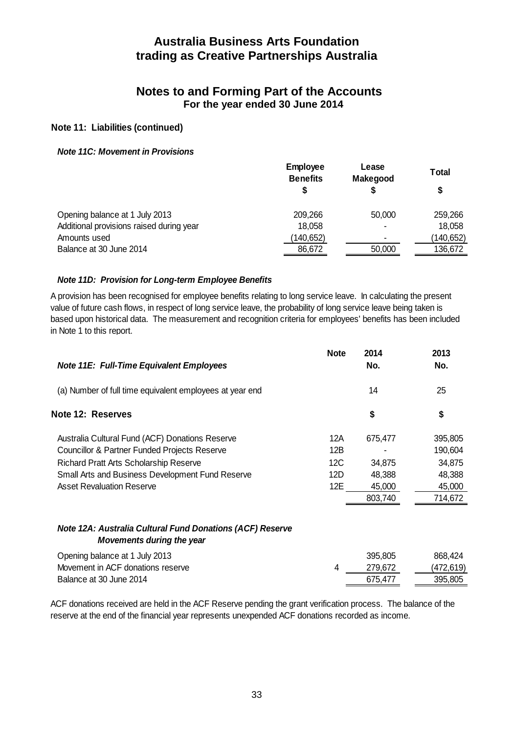## **Notes to and Forming Part of the Accounts For the year ended 30 June 2014**

#### **Note 11: Liabilities (continued)**

#### *Note 11C: Movement in Provisions*

|                                          | <b>Employee</b><br><b>Benefits</b> | Lease<br><b>Makegood</b> | Total<br>\$ |
|------------------------------------------|------------------------------------|--------------------------|-------------|
| Opening balance at 1 July 2013           | 209,266                            | 50,000                   | 259,266     |
| Additional provisions raised during year | 18,058                             | -                        | 18,058      |
| Amounts used                             | (140,652)                          |                          | (140,652)   |
| Balance at 30 June 2014                  | 86.672                             | 50,000                   | 136.672     |

#### *Note 11D: Provision for Long-term Employee Benefits*

A provision has been recognised for employee benefits relating to long service leave. In calculating the present value of future cash flows, in respect of long service leave, the probability of long service leave being taken is based upon historical data. The measurement and recognition criteria for employees' benefits has been included in Note 1 to this report.

| Note 11E: Full-Time Equivalent Employees                                               | <b>Note</b> | 2014<br>No. | 2013<br>No. |
|----------------------------------------------------------------------------------------|-------------|-------------|-------------|
| (a) Number of full time equivalent employees at year end                               |             | 14          | 25          |
| Note 12: Reserves                                                                      |             | \$          | \$          |
| Australia Cultural Fund (ACF) Donations Reserve                                        | 12A         | 675,477     | 395,805     |
| <b>Councillor &amp; Partner Funded Projects Reserve</b>                                | 12B         |             | 190,604     |
| <b>Richard Pratt Arts Scholarship Reserve</b>                                          | 12C         | 34,875      | 34.875      |
| Small Arts and Business Development Fund Reserve                                       | 12D         | 48,388      | 48,388      |
| <b>Asset Revaluation Reserve</b>                                                       | 12E         | 45,000      | 45,000      |
|                                                                                        |             | 803,740     | 714,672     |
| Note 12A: Australia Cultural Fund Donations (ACF) Reserve<br>Movements during the year |             |             |             |
| Opening balance at 1 July 2013                                                         |             | 395,805     | 868,424     |
| Movement in ACF donations reserve                                                      | 4           | 279,672     | (472,619)   |
| Balance at 30 June 2014                                                                |             | 675,477     | 395,805     |

ACF donations received are held in the ACF Reserve pending the grant verification process. The balance of the reserve at the end of the financial year represents unexpended ACF donations recorded as income.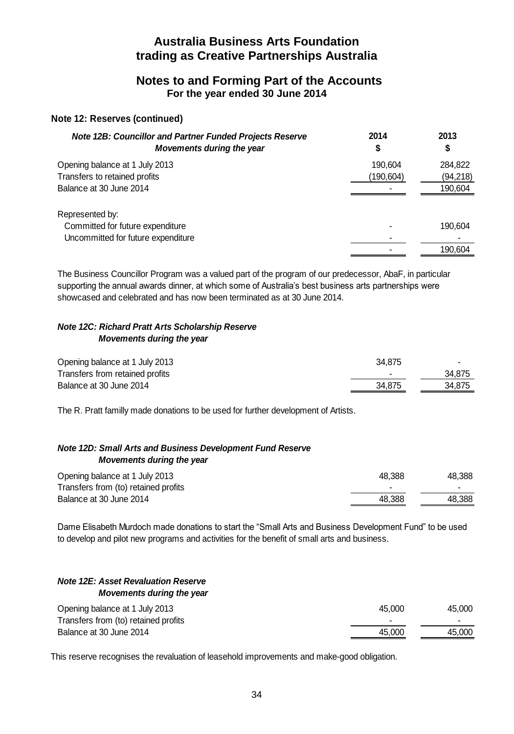## **Notes to and Forming Part of the Accounts For the year ended 30 June 2014**

#### **Note 12: Reserves (continued)**

| <b>Note 12B: Councillor and Partner Funded Projects Reserve</b><br>Movements during the year | 2014      | 2013<br>\$ |
|----------------------------------------------------------------------------------------------|-----------|------------|
| Opening balance at 1 July 2013                                                               | 190.604   | 284,822    |
| Transfers to retained profits                                                                | (190,604) | (94,218)   |
| Balance at 30 June 2014                                                                      | ۰         | 190,604    |
| Represented by:                                                                              |           |            |
| Committed for future expenditure                                                             |           | 190.604    |
| Uncommitted for future expenditure                                                           |           |            |
|                                                                                              |           | 190,604    |
|                                                                                              |           |            |

The Business Councillor Program was a valued part of the program of our predecessor, AbaF, in particular supporting the annual awards dinner, at which some of Australia's best business arts partnerships were showcased and celebrated and has now been terminated as at 30 June 2014.

#### *Note 12C: Richard Pratt Arts Scholarship Reserve Movements during the year*

| Opening balance at 1 July 2013  | 34.875 | $\overline{\phantom{0}}$ |
|---------------------------------|--------|--------------------------|
| Transfers from retained profits | -      | 34.875                   |
| Balance at 30 June 2014         | 34.875 | 34.875                   |

The R. Pratt familly made donations to be used for further development of Artists.

#### *Note 12D: Small Arts and Business Development Fund Reserve Movements during the year*

| Opening balance at 1 July 2013       | 48.388 | 48.388 |
|--------------------------------------|--------|--------|
| Transfers from (to) retained profits |        |        |
| Balance at 30 June 2014              | 48.388 | 48.388 |

Dame Elisabeth Murdoch made donations to start the "Small Arts and Business Development Fund" to be used to develop and pilot new programs and activities for the benefit of small arts and business.

#### *Note 12E: Asset Revaluation Reserve Movements during the year*

| Opening balance at 1 July 2013       | 45.000 | 45.000 |
|--------------------------------------|--------|--------|
| Transfers from (to) retained profits |        |        |
| Balance at 30 June 2014              | 45.000 | 45.000 |

This reserve recognises the revaluation of leasehold improvements and make-good obligation.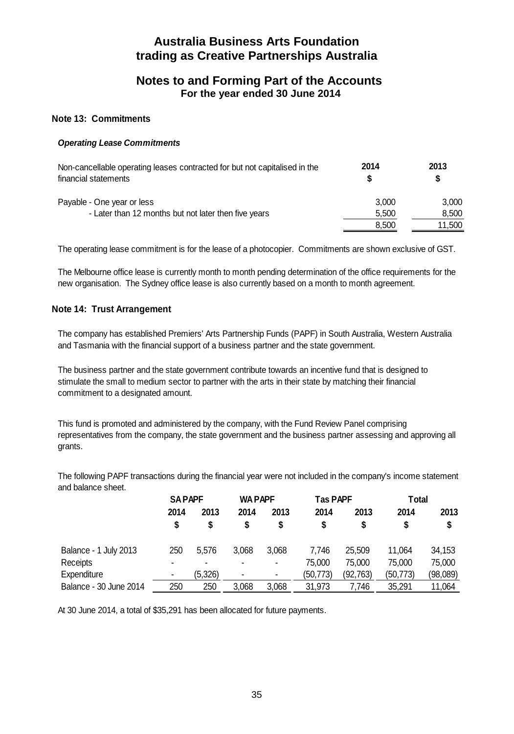## **Notes to and Forming Part of the Accounts For the year ended 30 June 2014**

#### **Note 13: Commitments**

#### *Operating Lease Commitments*

| Non-cancellable operating leases contracted for but not capitalised in the<br>financial statements | 2014  | 2013<br>S |
|----------------------------------------------------------------------------------------------------|-------|-----------|
| Payable - One year or less                                                                         | 3.000 | 3.000     |
| - Later than 12 months but not later then five years                                               | 5.500 | 8.500     |
|                                                                                                    | 8.500 | 11.500    |

The operating lease commitment is for the lease of a photocopier. Commitments are shown exclusive of GST.

The Melbourne office lease is currently month to month pending determination of the office requirements for the new organisation. The Sydney office lease is also currently based on a month to month agreement.

#### **Note 14: Trust Arrangement**

The company has established Premiers' Arts Partnership Funds (PAPF) in South Australia, Western Australia and Tasmania with the financial support of a business partner and the state government.

The business partner and the state government contribute towards an incentive fund that is designed to stimulate the small to medium sector to partner with the arts in their state by matching their financial commitment to a designated amount.

This fund is promoted and administered by the company, with the Fund Review Panel comprising representatives from the company, the state government and the business partner assessing and approving all grants.

The following PAPF transactions during the financial year were not included in the company's income statement and balance sheet.

|                        | <b>SAPAPF</b> |                | <b>WA PAPF</b> |                | <b>Tas PAPF</b> |          | Total    |          |
|------------------------|---------------|----------------|----------------|----------------|-----------------|----------|----------|----------|
|                        | 2014          | 2013           | 2014           | 2013           | 2014            | 2013     | 2014     | 2013     |
|                        |               | \$             | \$             | S              | \$              | \$       |          | \$       |
| Balance - 1 July 2013  | 250           | 5.576          | 3.068          | 3.068          | 7.746           | 25.509   | 11.064   | 34,153   |
| Receipts               |               | $\blacksquare$ | $\blacksquare$ | -              | 75,000          | 75.000   | 75.000   | 75,000   |
| Expenditure            |               | (5.326)        | $\blacksquare$ | $\blacksquare$ | (50,773)        | (92,763) | (50,773) | (98,089) |
| Balance - 30 June 2014 | 250           | 250            | 3.068          | 3.068          | 31,973          | 7.746    | 35.291   | 11,064   |

At 30 June 2014, a total of \$35,291 has been allocated for future payments.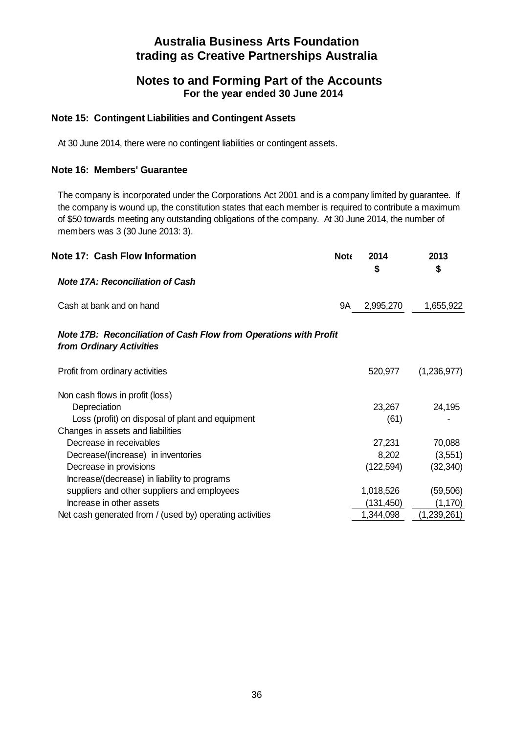## **Notes to and Forming Part of the Accounts For the year ended 30 June 2014**

#### **Note 15: Contingent Liabilities and Contingent Assets**

At 30 June 2014, there were no contingent liabilities or contingent assets.

## **Note 16: Members' Guarantee**

The company is incorporated under the Corporations Act 2001 and is a company limited by guarantee. If the company is wound up, the constitution states that each member is required to contribute a maximum of \$50 towards meeting any outstanding obligations of the company. At 30 June 2014, the number of members was 3 (30 June 2013: 3).

| Note 17: Cash Flow Information                                                                       | <b>Note</b> | 2014<br>\$ | 2013<br>\$  |
|------------------------------------------------------------------------------------------------------|-------------|------------|-------------|
| <b>Note 17A: Reconciliation of Cash</b>                                                              |             |            |             |
| Cash at bank and on hand                                                                             | 9A          | 2,995,270  | 1,655,922   |
| <b>Note 17B: Reconciliation of Cash Flow from Operations with Profit</b><br>from Ordinary Activities |             |            |             |
| Profit from ordinary activities                                                                      |             | 520,977    | (1,236,977) |
| Non cash flows in profit (loss)                                                                      |             |            |             |
| Depreciation                                                                                         |             | 23,267     | 24,195      |
| Loss (profit) on disposal of plant and equipment                                                     |             | (61)       |             |
| Changes in assets and liabilities                                                                    |             |            |             |
| Decrease in receivables                                                                              |             | 27,231     | 70,088      |
| Decrease/(increase) in inventories                                                                   |             | 8,202      | (3, 551)    |
| Decrease in provisions                                                                               |             | (122, 594) | (32, 340)   |
| Increase/(decrease) in liability to programs                                                         |             |            |             |
| suppliers and other suppliers and employees                                                          |             | 1,018,526  | (59, 506)   |
| Increase in other assets                                                                             |             | (131,450)  | (1,170)     |
| Net cash generated from / (used by) operating activities                                             |             | 1,344,098  | (1,239,261) |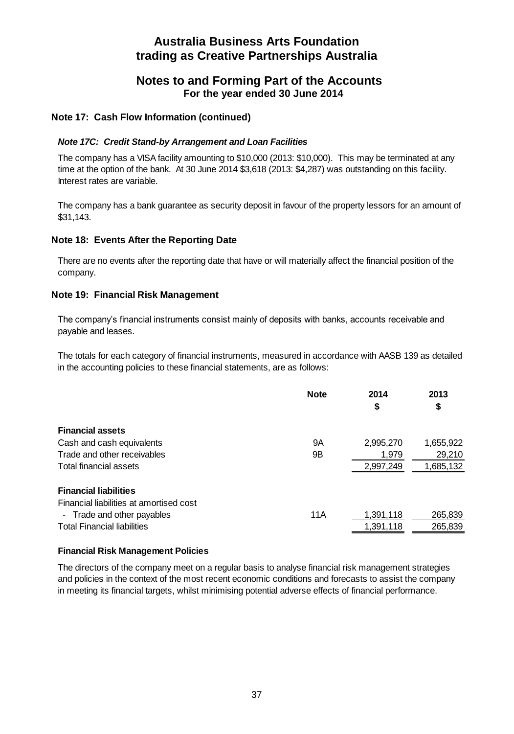## **Notes to and Forming Part of the Accounts For the year ended 30 June 2014**

#### **Note 17: Cash Flow Information (continued)**

#### *Note 17C: Credit Stand-by Arrangement and Loan Facilities*

The company has a VISA facility amounting to \$10,000 (2013: \$10,000). This may be terminated at any time at the option of the bank. At 30 June 2014 \$3,618 (2013: \$4,287) was outstanding on this facility. Interest rates are variable.

The company has a bank guarantee as security deposit in favour of the property lessors for an amount of \$31,143.

#### **Note 18: Events After the Reporting Date**

There are no events after the reporting date that have or will materially affect the financial position of the company.

#### **Note 19: Financial Risk Management**

The company's financial instruments consist mainly of deposits with banks, accounts receivable and payable and leases.

The totals for each category of financial instruments, measured in accordance with AASB 139 as detailed in the accounting policies to these financial statements, are as follows:

|                                         | <b>Note</b> | 2014<br>\$ | 2013<br>\$ |
|-----------------------------------------|-------------|------------|------------|
| <b>Financial assets</b>                 |             |            |            |
| Cash and cash equivalents               | 9Α          | 2,995,270  | 1,655,922  |
| Trade and other receivables             | 9Β          | 1.979      | 29,210     |
| Total financial assets                  |             | 2,997,249  | 1,685,132  |
| <b>Financial liabilities</b>            |             |            |            |
| Financial liabilities at amortised cost |             |            |            |
| - Trade and other payables              | 11A         | 1,391,118  | 265,839    |
| <b>Total Financial liabilities</b>      |             | 1,391,118  | 265,839    |
|                                         |             |            |            |

#### **Financial Risk Management Policies**

The directors of the company meet on a regular basis to analyse financial risk management strategies and policies in the context of the most recent economic conditions and forecasts to assist the company in meeting its financial targets, whilst minimising potential adverse effects of financial performance.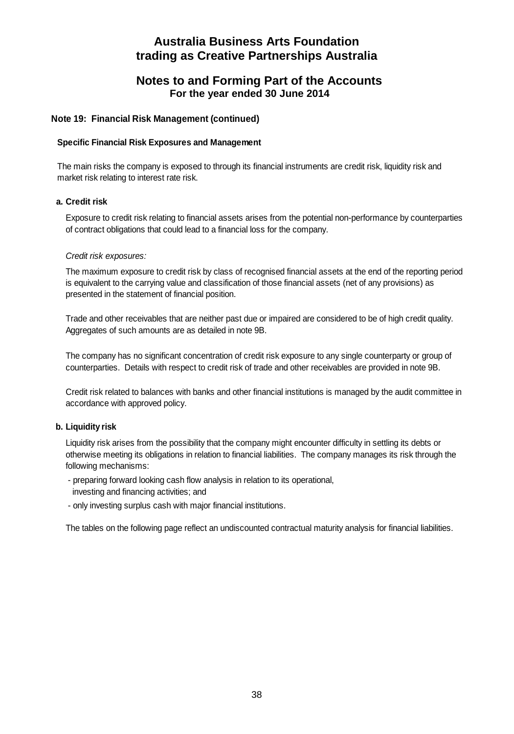## **Notes to and Forming Part of the Accounts For the year ended 30 June 2014**

#### **Note 19: Financial Risk Management (continued)**

#### **Specific Financial Risk Exposures and Management**

The main risks the company is exposed to through its financial instruments are credit risk, liquidity risk and market risk relating to interest rate risk.

#### **a. Credit risk**

Exposure to credit risk relating to financial assets arises from the potential non-performance by counterparties of contract obligations that could lead to a financial loss for the company.

#### *Credit risk exposures:*

The maximum exposure to credit risk by class of recognised financial assets at the end of the reporting period is equivalent to the carrying value and classification of those financial assets (net of any provisions) as presented in the statement of financial position.

Trade and other receivables that are neither past due or impaired are considered to be of high credit quality. Aggregates of such amounts are as detailed in note 9B.

The company has no significant concentration of credit risk exposure to any single counterparty or group of counterparties. Details with respect to credit risk of trade and other receivables are provided in note 9B.

Credit risk related to balances with banks and other financial institutions is managed by the audit committee in accordance with approved policy.

#### **b. Liquidity risk**

Liquidity risk arises from the possibility that the company might encounter difficulty in settling its debts or otherwise meeting its obligations in relation to financial liabilities. The company manages its risk through the following mechanisms:

- preparing forward looking cash flow analysis in relation to its operational, investing and financing activities; and
- only investing surplus cash with major financial institutions.

The tables on the following page reflect an undiscounted contractual maturity analysis for financial liabilities.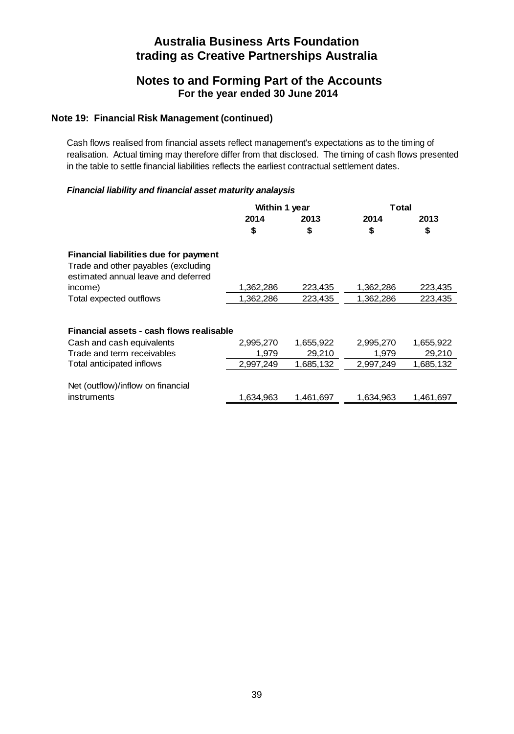## **Notes to and Forming Part of the Accounts For the year ended 30 June 2014**

#### **Note 19: Financial Risk Management (continued)**

Cash flows realised from financial assets reflect management's expectations as to the timing of realisation. Actual timing may therefore differ from that disclosed. The timing of cash flows presented in the table to settle financial liabilities reflects the earliest contractual settlement dates.

#### *Financial liability and financial asset maturity analaysis*

|                                                                                                                     | Within 1 year |           | Total     |           |
|---------------------------------------------------------------------------------------------------------------------|---------------|-----------|-----------|-----------|
|                                                                                                                     | 2014          | 2013      | 2014      | 2013      |
|                                                                                                                     | \$            | \$        | \$        | \$        |
| Financial liabilities due for payment<br>Trade and other payables (excluding<br>estimated annual leave and deferred |               |           |           |           |
| income)                                                                                                             | 1,362,286     | 223,435   | 1,362,286 | 223,435   |
| Total expected outflows                                                                                             | 1,362,286     | 223,435   | 1,362,286 | 223,435   |
|                                                                                                                     |               |           |           |           |
| Financial assets - cash flows realisable                                                                            |               |           |           |           |
| Cash and cash equivalents                                                                                           | 2,995,270     | 1,655,922 | 2,995,270 | 1,655,922 |
| Trade and term receivables                                                                                          | 1.979         | 29,210    | 1.979     | 29,210    |
| Total anticipated inflows                                                                                           | 2,997,249     | 1,685,132 | 2,997,249 | 1,685,132 |
| Net (outflow)/inflow on financial<br>instruments                                                                    | 1.634.963     | 1.461.697 | 1.634.963 | 1.461.697 |
|                                                                                                                     |               |           |           |           |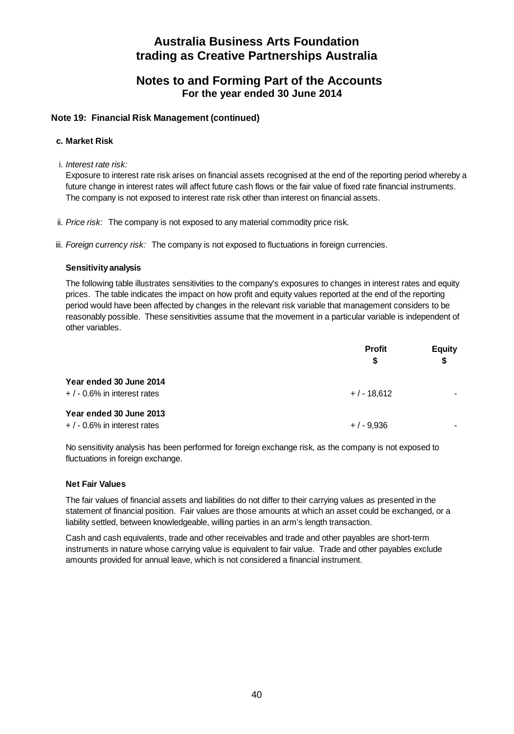## **Notes to and Forming Part of the Accounts For the year ended 30 June 2014**

#### **Note 19: Financial Risk Management (continued)**

#### **c. Market Risk**

i. *Interest rate risk:*

Exposure to interest rate risk arises on financial assets recognised at the end of the reporting period whereby a future change in interest rates will affect future cash flows or the fair value of fixed rate financial instruments. The company is not exposed to interest rate risk other than interest on financial assets.

- ii. *Price risk:* The company is not exposed to any material commodity price risk.
- iii. *Foreign currency risk:* The company is not exposed to fluctuations in foreign currencies.

#### **Sensitivity analysis**

The following table illustrates sensitivities to the company's exposures to changes in interest rates and equity prices. The table indicates the impact on how profit and equity values reported at the end of the reporting period would have been affected by changes in the relevant risk variable that management considers to be reasonably possible. These sensitivities assume that the movement in a particular variable is independent of other variables.

|                                                           | <b>Profit</b><br>S | <b>Equity</b><br>\$ |
|-----------------------------------------------------------|--------------------|---------------------|
| Year ended 30 June 2014<br>$+$ / - 0.6% in interest rates | $+/-18.612$        |                     |
| Year ended 30 June 2013<br>$+$ / - 0.6% in interest rates | $+/-9.936$         |                     |

No sensitivity analysis has been performed for foreign exchange risk, as the company is not exposed to fluctuations in foreign exchange.

#### **Net Fair Values**

The fair values of financial assets and liabilities do not differ to their carrying values as presented in the statement of financial position. Fair values are those amounts at which an asset could be exchanged, or a liability settled, between knowledgeable, willing parties in an arm's length transaction.

Cash and cash equivalents, trade and other receivables and trade and other payables are short-term instruments in nature whose carrying value is equivalent to fair value. Trade and other payables exclude amounts provided for annual leave, which is not considered a financial instrument.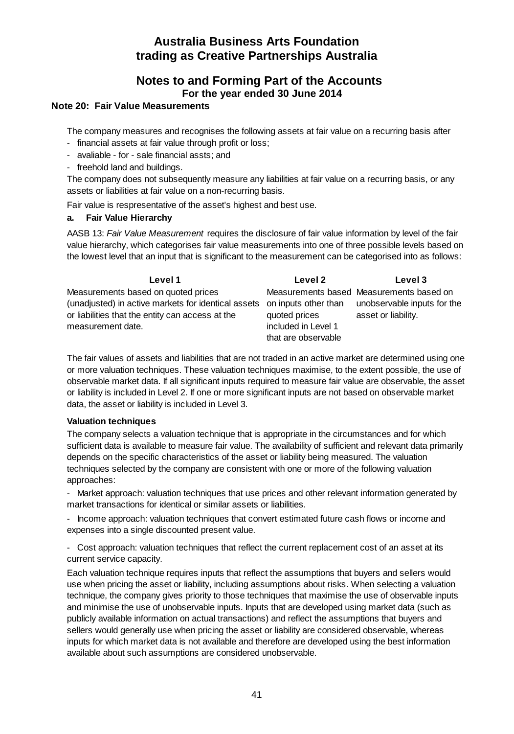## **Notes to and Forming Part of the Accounts For the year ended 30 June 2014**

#### **Note 20: Fair Value Measurements**

The company measures and recognises the following assets at fair value on a recurring basis after

- financial assets at fair value through profit or loss;
- avaliable for sale financial assts; and
- freehold land and buildings.

The company does not subsequently measure any liabilities at fair value on a recurring basis, or any assets or liabilities at fair value on a non-recurring basis.

Fair value is respresentative of the asset's highest and best use.

#### **a. Fair Value Hierarchy**

AASB 13: *Fair Value Measurement* requires the disclosure of fair value information by level of the fair value hierarchy, which categorises fair value measurements into one of three possible levels based on the lowest level that an input that is significant to the measurement can be categorised into as follows:

| Level 1                                                                  | Level 2             | Level 3                                  |
|--------------------------------------------------------------------------|---------------------|------------------------------------------|
| Measurements based on quoted prices                                      |                     | Measurements based Measurements based on |
| (unadjusted) in active markets for identical assets on inputs other than |                     | unobservable inputs for the              |
| or liabilities that the entity can access at the                         | quoted prices       | asset or liability.                      |
| measurement date.                                                        | included in Level 1 |                                          |
|                                                                          | that are observable |                                          |

The fair values of assets and liabilities that are not traded in an active market are determined using one or more valuation techniques. These valuation techniques maximise, to the extent possible, the use of observable market data. If all significant inputs required to measure fair value are observable, the asset or liability is included in Level 2. If one or more significant inputs are not based on observable market data, the asset or liability is included in Level 3.

#### **Valuation techniques**

The company selects a valuation technique that is appropriate in the circumstances and for which sufficient data is available to measure fair value. The availability of sufficient and relevant data primarily depends on the specific characteristics of the asset or liability being measured. The valuation techniques selected by the company are consistent with one or more of the following valuation approaches:

Market approach: valuation techniques that use prices and other relevant information generated by market transactions for identical or similar assets or liabilities.

- Income approach: valuation techniques that convert estimated future cash flows or income and expenses into a single discounted present value.

- Cost approach: valuation techniques that reflect the current replacement cost of an asset at its current service capacity.

Each valuation technique requires inputs that reflect the assumptions that buyers and sellers would use when pricing the asset or liability, including assumptions about risks. When selecting a valuation technique, the company gives priority to those techniques that maximise the use of observable inputs and minimise the use of unobservable inputs. Inputs that are developed using market data (such as publicly available information on actual transactions) and reflect the assumptions that buyers and sellers would generally use when pricing the asset or liability are considered observable, whereas inputs for which market data is not available and therefore are developed using the best information available about such assumptions are considered unobservable.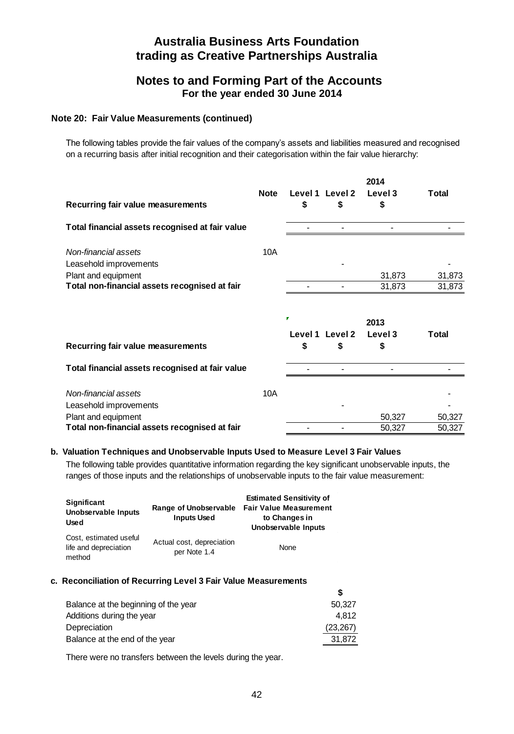## **Notes to and Forming Part of the Accounts For the year ended 30 June 2014**

#### **Note 20: Fair Value Measurements (continued)**

The following tables provide the fair values of the company's assets and liabilities measured and recognised on a recurring basis after initial recognition and their categorisation within the fair value hierarchy:

|                                                 |             |              |                       | 2014            |              |
|-------------------------------------------------|-------------|--------------|-----------------------|-----------------|--------------|
| Recurring fair value measurements               | <b>Note</b> | \$           | Level 1 Level 2<br>\$ | Level 3<br>\$   | <b>Total</b> |
| Total financial assets recognised at fair value |             |              |                       |                 |              |
| Non-financial assets<br>Leasehold improvements  | 10A         |              |                       |                 |              |
| Plant and equipment                             |             |              |                       | 31,873          | 31,873       |
| Total non-financial assets recognised at fair   |             |              |                       | 31,873          | 31,873       |
|                                                 |             | п<br>Level 1 | Level 2               | 2013<br>Level 3 | Total        |
| Recurring fair value measurements               |             | \$           | \$                    | \$              |              |
| Total financial assets recognised at fair value |             |              |                       |                 |              |
| Non-financial assets                            | 10A         |              |                       |                 |              |
| Leasehold improvements                          |             |              |                       |                 |              |
| Plant and equipment                             |             |              |                       | 50,327          | 50,327       |
| Total non-financial assets recognised at fair   |             |              |                       | 50,327          | 50,327       |

#### **b. Valuation Techniques and Unobservable Inputs Used to Measure Level 3 Fair Values**

The following table provides quantitative information regarding the key significant unobservable inputs, the ranges of those inputs and the relationships of unobservable inputs to the fair value measurement:

| Significant<br>Unobservable Inputs<br>Used                | Range of Unobservable<br><b>Inputs Used</b> | <b>Estimated Sensitivity of</b><br><b>Fair Value Measurement</b><br>to Changes in<br>Unobservable Inputs |
|-----------------------------------------------------------|---------------------------------------------|----------------------------------------------------------------------------------------------------------|
| Cost, estimated useful<br>life and depreciation<br>method | Actual cost, depreciation<br>per Note 1.4   | None                                                                                                     |

#### **c. Reconciliation of Recurring Level 3 Fair Value Measurements**

| Balance at the beginning of the year<br>50.327 |
|------------------------------------------------|
| Additions during the year<br>4.812             |
| (23, 267)                                      |
| Balance at the end of the year<br>31.872       |
|                                                |

There were no transfers between the levels during the year.